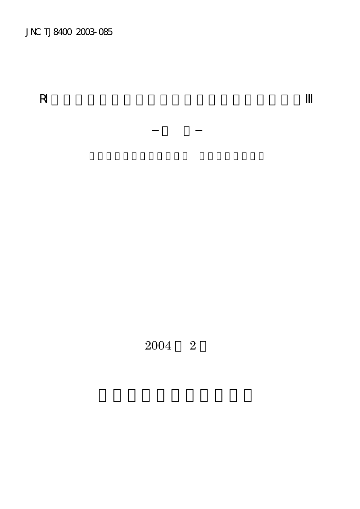JNC TJ8400 2003-085

 $R$ 

2004 2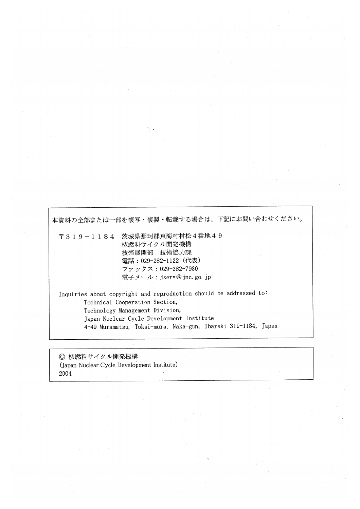本資料の全部または一部を複写・複製・転載する場合は、下記にお問い合わせください。

〒319-1184 茨城県那珂郡東海村村松4番地49 核燃料サイクル開発機構 技術展開部 技術協力課 電話: 029-282-1122 (代表) ファックス: 029-282-7980 電子メール: jserv@jnc.go.jp

Inquiries about copyright and reproduction should be addressed to: Technical Cooperation Section, Technology Management Division, Japan Nuclear Cycle Development Institute 4-49 Muramatsu, Tokai-mura, Naka-gun, Ibaraki 319-1184, Japan

C 核燃料サイクル開発機構 (Japan Nuclear Cycle Development Institute) 2004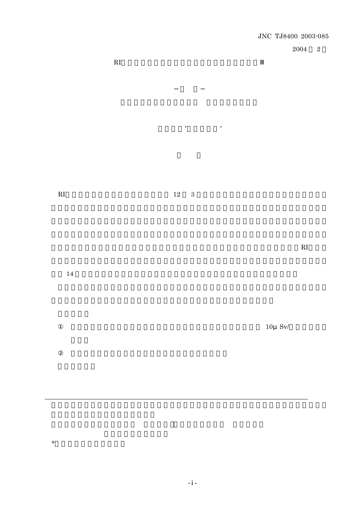2004 2

 $RI$ 

RI  $12 \quad 3$ 

 $14$ 

景山仁志\*、赤堀邦 \*

 $\rm RI$ 

\*三菱マテリアル株式会社

 $10\mu$  Sv/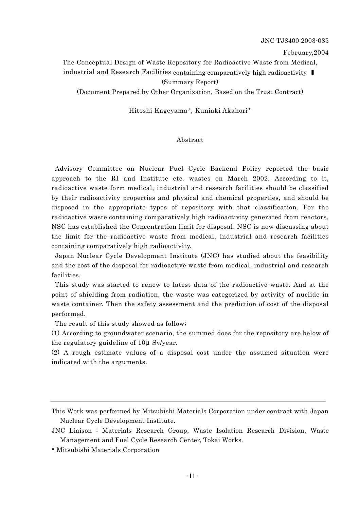February,2004

# The Conceptual Design of Waste Repository for Radioactive Waste from Medical, industrial and Research Facilities containing comparatively high radioactivity

#### (Summary Report)

(Document Prepared by Other Organization, Based on the Trust Contract)

### Hitoshi Kageyama\*, Kuniaki Akahori\*

#### Abstract

Advisory Committee on Nuclear Fuel Cycle Backend Policy reported the basic approach to the RI and Institute etc. wastes on March 2002. According to it, radioactive waste form medical, industrial and research facilities should be classified by their radioactivity properties and physical and chemical properties, and should be disposed in the appropriate types of repository with that classification. For the radioactive waste containing comparatively high radioactivity generated from reactors, NSC has established the Concentration limit for disposal. NSC is now discussing about the limit for the radioactive waste from medical, industrial and research facilities containing comparatively high radioactivity.

 Japan Nuclear Cycle Development Institute (JNC) has studied about the feasibility and the cost of the disposal for radioactive waste from medical, industrial and research facilities.

 This study was started to renew to latest data of the radioactive waste. And at the point of shielding from radiation, the waste was categorized by activity of nuclide in waste container. Then the safety assessment and the prediction of cost of the disposal performed.

The result of this study showed as follow;

(1) According to groundwater scenario, the summed does for the repository are below of the regulatory guideline of  $10\mu$  Sv/year.

(2) A rough estimate values of a disposal cost under the assumed situation were indicated with the arguments.

This Work was performed by Mitsubishi Materials Corporation under contract with Japan Nuclear Cycle Development Institute.

JNC Liaison : Materials Research Group, Waste Isolation Research Division, Waste Management and Fuel Cycle Research Center, Tokai Works.

<sup>\*</sup> Mitsubishi Materials Corporation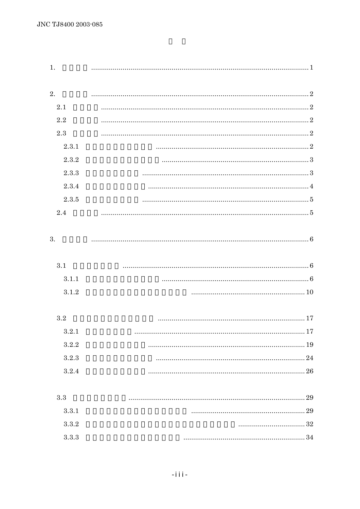| 1.    |    |
|-------|----|
| 2.    |    |
| 2.1   |    |
| 2.2   |    |
|       |    |
| 2.3   |    |
| 2.3.1 |    |
| 2.3.2 |    |
| 2.3.3 |    |
| 2.3.4 |    |
| 2.3.5 |    |
| 2.4   |    |
| 3.    |    |
| 3.1   |    |
| 3.1.1 |    |
| 3.1.2 |    |
| 3.2   |    |
| 3.2.1 | 17 |
| 3.2.2 |    |
| 3.2.3 |    |
| 3.2.4 |    |
|       |    |
| 3.3   |    |
| 3.3.1 |    |
| 3.3.2 |    |
| 3.3.3 | 34 |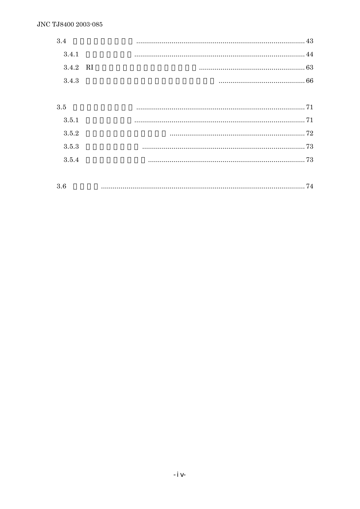| 3.4      | 43 |
|----------|----|
| 3.4.1    |    |
| 3.4.2 RI |    |
| 3.4.3    |    |
|          |    |
| 3.5      |    |
| 3.5.1    |    |
| 3.5.2    |    |
| 3.5.3    |    |
| 3.5.4    | 73 |
|          |    |
| 3.6      | 74 |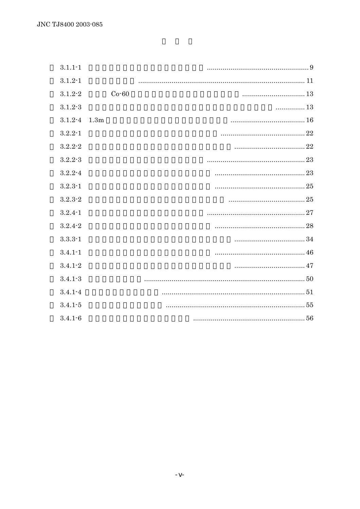|    |         |                  | $3.1.1 - 1$ |
|----|---------|------------------|-------------|
|    |         |                  | $3.1.2 - 1$ |
| 13 | $Co-60$ |                  | $3.1.2 - 2$ |
|    |         |                  | $3.1.2 - 3$ |
|    |         | 1.3 <sub>m</sub> | $3.1.2 - 4$ |
|    |         |                  | $3.2.2 - 1$ |
|    |         |                  | $3.2.2 - 2$ |
|    |         |                  | $3.2.2 - 3$ |
|    |         |                  | $3.2.2 - 4$ |
|    |         |                  | $3.2.3 - 1$ |
|    |         |                  | $3.2.3 - 2$ |
|    |         |                  | $3.2.4 - 1$ |
|    |         |                  | $3.2.4 - 2$ |
|    |         |                  | $3.3.3 - 1$ |
|    |         |                  | $3.4.1 - 1$ |
|    |         |                  | $3.4.1 - 2$ |
|    |         |                  | $3.4.1 - 3$ |
|    |         |                  | $3.4.1 - 4$ |
|    |         |                  | $3.4.1 - 5$ |
|    |         |                  | $3.4.1 - 6$ |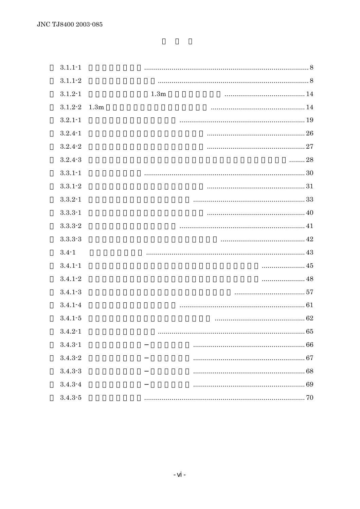|                  |                  | $3.1.1 - 1$ |
|------------------|------------------|-------------|
|                  |                  | $3.1.1 - 2$ |
| 1.3 <sub>m</sub> |                  | $3.1.2 - 1$ |
|                  | 1.3 <sub>m</sub> | $3.1.2 - 2$ |
|                  |                  | $3.2.1 - 1$ |
|                  |                  | $3.2.4 - 1$ |
|                  |                  | $3.2.4 - 2$ |
| $\ldots$ 28      |                  | $3.2.4 - 3$ |
|                  |                  | $3.3.1 - 1$ |
|                  |                  | $3.3.1 - 2$ |
|                  |                  | $3.3.2 - 1$ |
|                  |                  | $3.3.3 - 1$ |
|                  |                  | $3.3.3 - 2$ |
|                  |                  | $3.3.3 - 3$ |
|                  |                  | $3.4 - 1$   |
|                  |                  | $3.4.1 - 1$ |
| 48               |                  | $3.4.1 - 2$ |
|                  |                  | $3.4.1 - 3$ |
|                  |                  | $3.4.1 - 4$ |
|                  |                  | $3.4.1 - 5$ |
|                  |                  | $3.4.2 - 1$ |
|                  |                  | $3.4.3 - 1$ |
|                  |                  | $3.4.3 - 2$ |
|                  |                  | $3.4.3 - 3$ |
|                  |                  | $3.4.3 - 4$ |
|                  |                  | $3.4.3 - 5$ |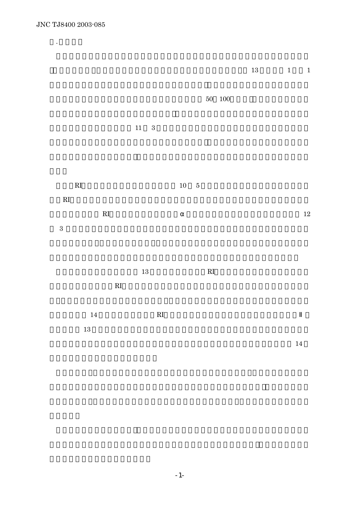. The  $\mathcal{O}(\mathcal{O}_\mathcal{O})$ 



| <b>TT</b> | <b>LVL</b> |    |
|-----------|------------|----|
| 13        |            |    |
|           |            | 14 |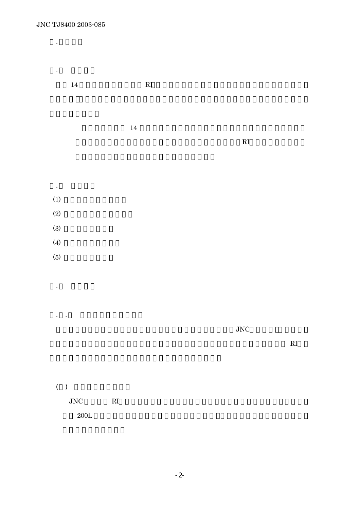.研究計画







 $JNC$  RI

 $200L$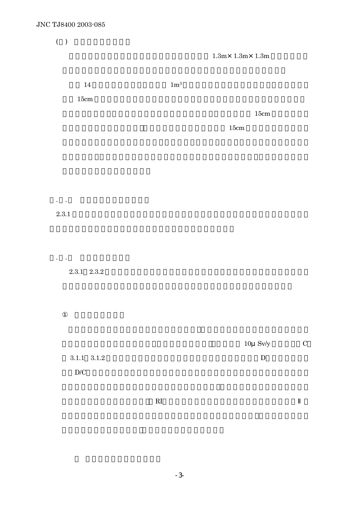$( )$ 

 $1.3$ m $\times$   $1.3$ m $\times$   $1.3$ m

 $14$   $1m^3$ 

 $15cm$ 

 $15cm$ 

 $15cm$ 

. . .

 $2.3.1$ 

 $2.3.1 \quad 2.3.2$ 

. . 施設成立性の検討

 $10\mu$  Sv/y  $C$ 

 $3.1.1 \quad 3.1.2$  D

 $D/C$ 

 $R$ I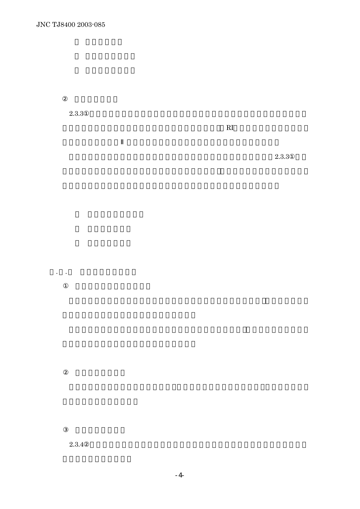$2.3.3$ 

. . 経済性の最適化検討

 $R$ I

 $2.3.3$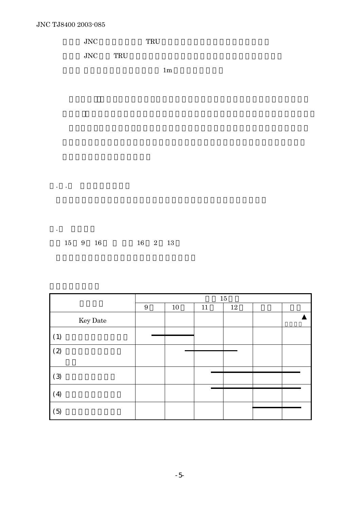. . .

| <b>JNC</b> | TRU |  |
|------------|-----|--|
|------------|-----|--|

JNC TRU

 $1m$ 

 $\mathbb{R}^n$ 平成 15 9 16 16 2 13

|                  | 15 |        |    |    |  |  |
|------------------|----|--------|----|----|--|--|
|                  | 9  | $10\,$ | 11 | 12 |  |  |
| Key Date         |    |        |    |    |  |  |
| (1)              |    |        |    |    |  |  |
| (2)              |    |        |    |    |  |  |
| $\left(3\right)$ |    |        |    |    |  |  |
| (4)              |    |        |    |    |  |  |
| (5)              |    |        |    |    |  |  |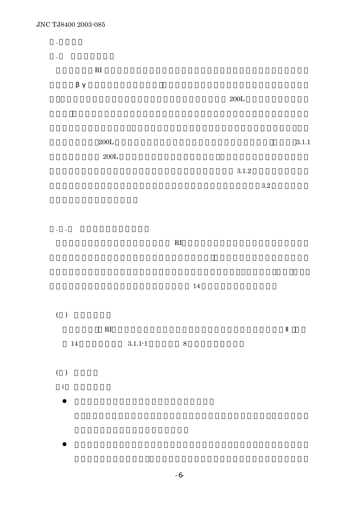$\ddot{\phantom{1}}$ 

.  $\ddotsc$ 

. 廃棄体特性検討  $R$ I  $\,$ 

 $200L$ 

 $200L$ 

 $200L$  3.1.1

 $3.1.2$ 

 $3.2$ 

 $RI$ 

 $14$ 

 $( )$  $RI$ 

 $14 \t 3.1.1-1 \t 8$ 

 $( )$ 

 $i$  $\bullet$ 

 $\bullet$ 

-6-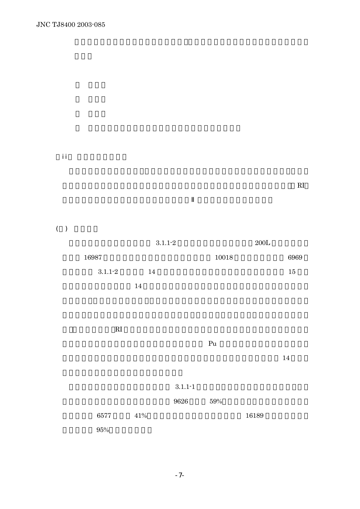$R$ 

 $( )$ 

ii

|                  | $3.1.1\mbox{-}2$ |             |                        | $200\mbox{L}$ |        |
|------------------|------------------|-------------|------------------------|---------------|--------|
| $16987\,$        |                  |             | $10018\,$              |               | 6969   |
| $3.1.1\mbox{-}2$ | $14\,$           |             |                        |               | $15\,$ |
|                  | $14\,$           |             |                        |               |        |
|                  |                  |             |                        |               |        |
|                  |                  |             |                        |               |        |
| $\rm RI$         |                  |             |                        |               |        |
|                  |                  |             | $\mathbf{P}\mathbf{u}$ |               |        |
|                  |                  |             |                        |               | $14\,$ |
|                  |                  |             |                        |               |        |
|                  |                  | $3.1.1 - 1$ |                        |               |        |
|                  |                  | $9626\,$    | $59\%$                 |               |        |
| 6577             | $41\%$           |             |                        | $16189\,$     |        |
| $95\%$           |                  |             |                        |               |        |
|                  |                  |             |                        |               |        |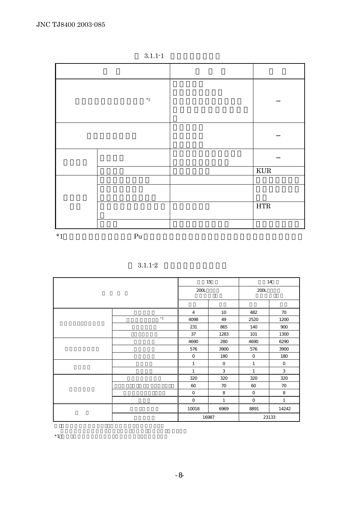$3.1.1 - 1$ 

|         | $^{\star_1}$           |                      |
|---------|------------------------|----------------------|
|         |                        |                      |
|         |                        |                      |
|         |                        |                      |
|         |                        |                      |
|         |                        | $\operatorname{KUR}$ |
|         |                        |                      |
|         |                        |                      |
|         |                        | <b>HTR</b>           |
|         |                        |                      |
| $*_{1}$ | $\mathbf{P}\mathbf{u}$ |                      |

| $3.1.1 - 2$ |  |
|-------------|--|
|-------------|--|

|      |                | 15           |                 | 14           |
|------|----------------|--------------|-----------------|--------------|
|      | $200\mbox{L}$  |              | $200\mathrm{L}$ |              |
|      |                |              |                 |              |
|      | $\overline{4}$ | 10           | 482             | 70           |
| $*1$ | 4098           | 49           | 2520            | 1200         |
|      | 231            | 865          | 140             | 900          |
|      | 37             | 1283         | 101             | 1300         |
|      | 4690           | 280          | 4690            | 6290         |
|      | 576            | 3900         | 576             | 3900         |
|      | $\mathbf{O}$   | 180          | $\mathbf{0}$    | 180          |
|      | $\mathbf{1}$   | $\mathbf{O}$ | $\mathbf{1}$    | $\mathbf{O}$ |
|      | $\mathbf{1}$   | 3            | $\mathbf{1}$    | 3            |
|      | 320            | 320          | 320             | 320          |
|      | 60             | 70           | 60              | 70           |
|      | $\mathbf{O}$   | 8            | $\mathbf{O}$    | 8            |
|      | $\mathbf{O}$   | $\mathbf{1}$ | $\mathbf{0}$    | $\mathbf{1}$ |
|      | 10018          | 6969         | 8891            | 14242        |
|      |                | 16987        |                 | 23133        |

 $*1$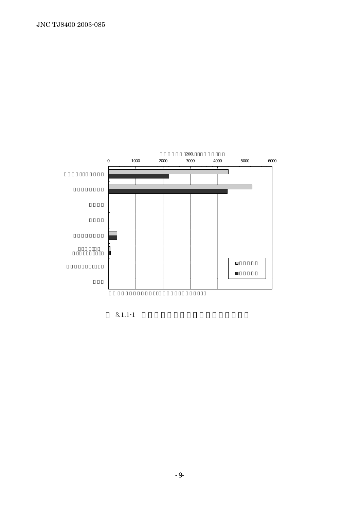

 $3.1.1 - 1$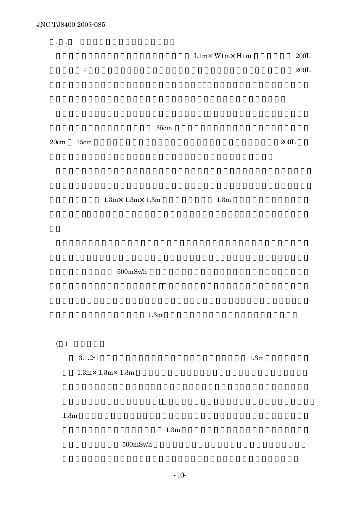## JNC TJ8400 2003-085

| $\bullet$<br>$\cdot$ $\cdot$ |                |                             |      |
|------------------------------|----------------|-----------------------------|------|
|                              |                | $L1m \times W1m \times H1m$ | 200L |
|                              | $\overline{4}$ |                             | 200L |
|                              |                |                             |      |
|                              |                |                             |      |

| 35cm |  |
|------|--|

 $20cm$  15cm  $200L$ 

 $1.3$ m $\times$   $1.3$ m $\times$   $1.3$ m  $1.3$ m

 $500\mathrm{mSv/h}$ 

 $1.3m$ 

 $( )$ 

 $3.1.2-1$   $1.3m$ 

 $1.3 \text{m} \times 1.3 \text{m} \times 1.3 \text{m}$ 

 $1.3<sub>m</sub>$ 

 $1.3m$ 

 $500\mathrm{mSv/h}$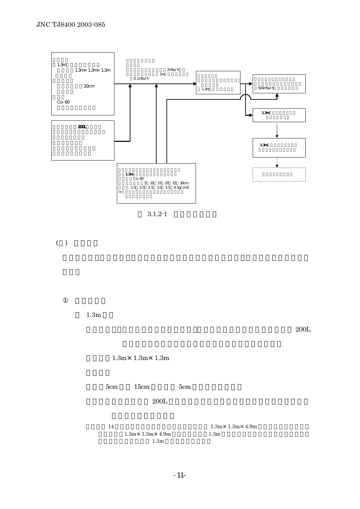

 $3.1.2 - 1$ 

 $( )$ 

 $1.3<sub>m</sub>$ 

 $200L$ 

外寸法:1.3m×1.3m×1.3m

5cm 15cm 5cm  $200L$  $1.3\text{m} \times\ 1.3\text{m} \times\ 4.9\text{m}$   $1.3\text{m} \times\ 1.3\text{m} \times\ 4.9\text{m}$   $1.3\text{m} \times\ 4.9\text{m}$ 

 $1.3$ m $\times$   $1.3$ m $\times$   $4.9$ m  $1.3m$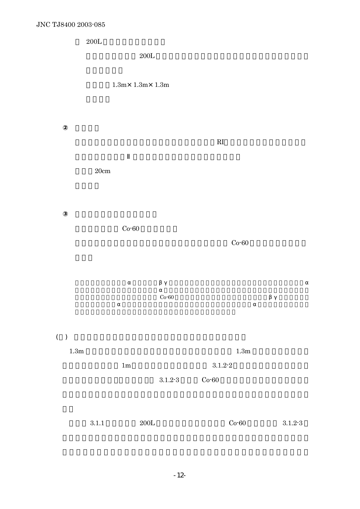$200L$ 

 $200L$ 

 $1.3m \times 1.3m \times 1.3m$ 

 $R$ I 厚さ:20cm

Co-60

 $Co-60$ 

 $Co-60$ 

 $($   $)$ 

 $1.3m$   $1.3m$ 

 $1m$   $3.1.2-2$  $3.1.2 - 3$  Co-60

 $3.1.1$  200L Co-60  $3.1.2-3$ 

-12-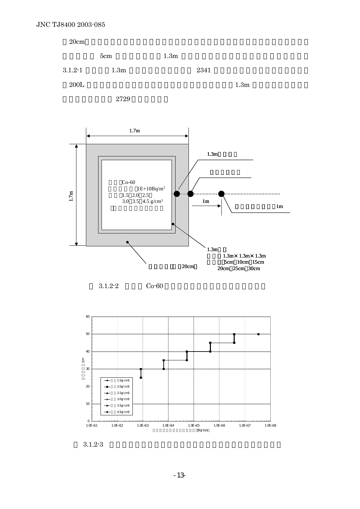1.7 m



1m

 $\sim$  1.3m

 $1.3$ m×1.3m×1.3m 5cm 10cm 15cm 20cm 25cm 30cm

 $1<sub>m</sub>$ 

--------------

20cm

線源:Co-60

密度:1.5 2.0 2.5  $3.0 \, 3.5 \, 4.5 \, \text{g/cm}^3$ 

 $3.1.2 - 2$  Co-60

密度1.5g/cm3 密度2.0g/cm3 密度2.5g/cm3 密度3.0g/cm3 密度3.5g/cm3  $4.5g/cm3$  1E+10Bq/m<sup>3</sup>



 $_{1.0E+11}^{0}$ 

10

20

30

 $\epsilon$ 

 $\rm \tilde{E}$ 

40

50

60

1.0E+11 1.0E+12 1.0E+13 1.0E+14 1.0E+15 1.0E+16 1.0E+17 1.0E+18

 $Bq/ton$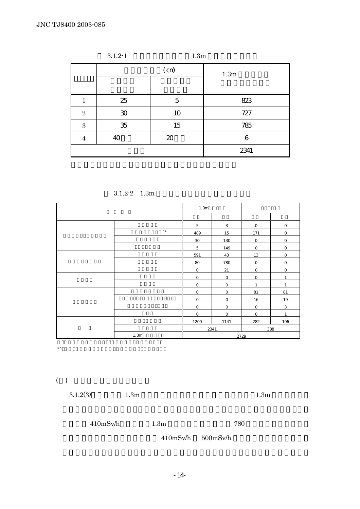|                | $3.1.2 - 1$ | 1.3 <sub>m</sub> |                  |
|----------------|-------------|------------------|------------------|
|                |             | (cn)             | 1.3 <sub>m</sub> |
|                |             |                  |                  |
| 1              | 25          | $\overline{5}$   | 823              |
| $\overline{2}$ | 30          | 10               | 727              |
| 3              | 35          | 15               | 785              |
| $\overline{4}$ | 40          | $20\,$           | 6                |
|                |             |                  | 2341             |

 $3.1.2 - 2$  1.3m

|      | $1.3\mathrm{m}$ |                           |              |              |
|------|-----------------|---------------------------|--------------|--------------|
|      |                 |                           |              |              |
|      | $\mathbf 5$     | $\ensuremath{\mathbf{3}}$ | $\mathbf O$  | $\mathbf O$  |
| $*1$ | 489             | 15                        | 171          | $\mathbf{O}$ |
|      | $30\,$          | 130                       | $\mathbf{O}$ | $\mathbf{O}$ |
|      | 5               | 149                       | $\mathbf{O}$ | $\mathbf{O}$ |
|      | 591             | 43                        | 13           | $\mathbf{O}$ |
|      | 80              | 780                       | $\mathbf O$  | $\rm{O}$     |
|      | $\mathbf{O}$    | 21                        | $\mathbf{O}$ | $\mathbf{O}$ |
|      | $\mathbf{O}$    | $\mathbf{O}$              | $\mathbf O$  | $\mathbf{1}$ |
|      | $\mathbf{O}$    | $\mathbf{O}$              | $\mathbf{1}$ | $\mathbf{1}$ |
|      | $\mathbf{O}$    | $\mathbf{O}$              | 81           | 81           |
|      | $\mathbf{O}$    | $\mathbf{O}$              | 16           | 19           |
|      | $\mathbf{O}$    | $\mathbf{O}$              | $\mathbf 0$  | 3            |
|      | $\mathbf{O}$    | $\mathbf{O}$              | $\mathbf{O}$ | $\mathbf{1}$ |
|      | 1200            | 1141                      | 282          | 106          |
|      |                 | 2341                      |              | 388          |
| 1.3m |                 |                           | 2729         |              |

 $*1$ 

 $( )$ 

 $3.1.2(3)$   $1.3m$   $1.3m$ 

 $410\text{mSv/h}$   $1.3\text{m}$   $780$ 

 $410mSv/h$  500mSv/h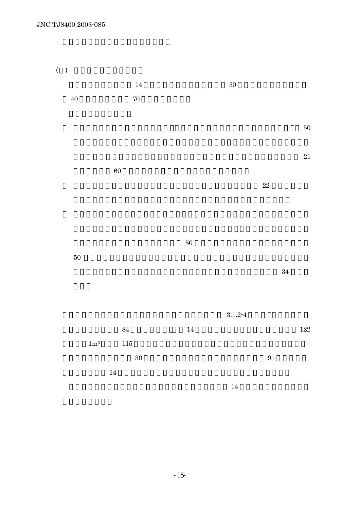

 $21$  $60$ 

 $22$ 

 $50$  $50$  $34$ 

 $3.1.2 - 4$ 84  $14$   $122$  $1\text{m}^3$  115  $1\text{m}^3$  $30 \t\t 91$  $14$ 

 $14$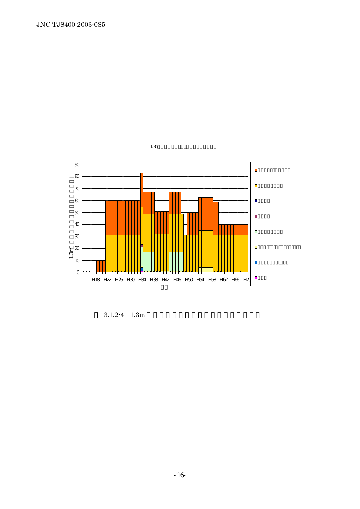

 $1.3<sub>m</sub>$ 

 $3.1.2 - 4$  1.3m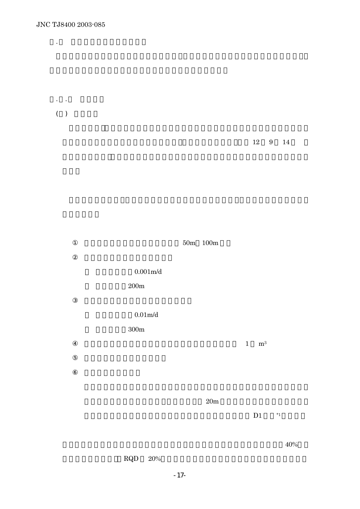.  $\blacksquare$ 

 $( )$ 

. 埋設施設形態の最適化検討

 $12 \quad 9 \quad 14$ 

 $50\mathrm{m}$  100m

 $0.001\mathrm{m}/\mathrm{d}$ 

移行距離:200m

 $0.01$ m/d

移行距離:300m

 $1 \text{ m}^3$ 

 $20m$ 

 $D1$  \*1

 $40\%$ 

 $RQD$  20%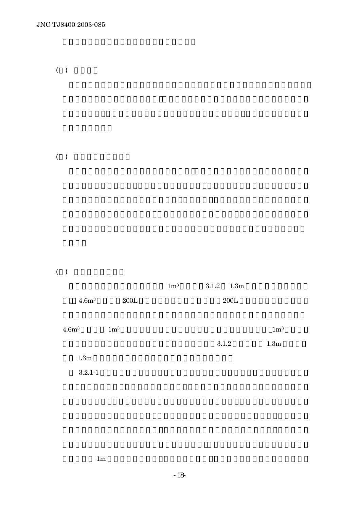$( )$ 

 $( )$ 

 $( )$ 

|                   |                 | 1m <sup>3</sup> | 3.1.2 $1.3m$  |                  |  |
|-------------------|-----------------|-----------------|---------------|------------------|--|
| 4.6 <sup>m3</sup> | 200L            |                 | $200\mbox{L}$ |                  |  |
| 4.6 <sup>m3</sup> | 1 <sup>m3</sup> |                 |               | 1 <sup>m3</sup>  |  |
|                   |                 |                 | 3.1.2         | 1.3 <sub>m</sub> |  |
| 1.3 <sub>m</sub>  |                 |                 |               |                  |  |
| $3.2.1 - 1$       |                 |                 |               |                  |  |

 $1<sub>m</sub>$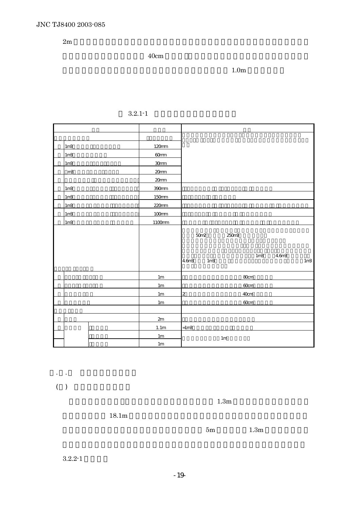$2m$ 

 $40cm$ 

 $1.0m$ 

| 1 <sub>m3</sub> | 120mm            |                  |                 |                    |                  |      |       |
|-----------------|------------------|------------------|-----------------|--------------------|------------------|------|-------|
| 1 <sub>m3</sub> | $60 \text{nm}$   |                  |                 |                    |                  |      |       |
| 1 <sub>m3</sub> | 30 <sub>mm</sub> |                  |                 |                    |                  |      |       |
| m <sup>3</sup>  | 20 <sub>nm</sub> |                  |                 |                    |                  |      |       |
|                 | 20 <sub>nm</sub> |                  |                 |                    |                  |      |       |
| 1 <sub>m3</sub> | 390mm            |                  |                 |                    |                  |      |       |
| 1 <sub>m3</sub> | 150mm            |                  |                 |                    |                  |      |       |
| 1 <sub>m3</sub> | $220 \text{nm}$  |                  |                 |                    |                  |      |       |
| 1 <sub>m3</sub> | $100 \text{nm}$  |                  |                 |                    |                  |      |       |
| 1 <sub>m3</sub> | 1100mm           |                  |                 |                    |                  |      |       |
|                 |                  | 50 <sub>m2</sub> |                 | 250 <sub>m</sub> 3 | $1m3$            | 46n3 |       |
|                 |                  | 46n3             | 1 <sub>m3</sub> |                    |                  |      | $1m3$ |
|                 | 1m               |                  |                 |                    | 80 <sub>cm</sub> |      |       |
|                 | 1m               |                  |                 |                    | 60cm             |      |       |
|                 | 1m               | $\overline{c}$   |                 |                    | 40cm             |      |       |
|                 | 1m               |                  |                 |                    | 60cm             |      |       |
|                 |                  |                  |                 |                    |                  |      |       |
|                 | 2m               |                  |                 |                    |                  |      |       |
|                 | 1.1 <sub>m</sub> | $=1m3$           |                 |                    |                  |      |       |
|                 | 1m               |                  |                 | $1{\rm m}$         |                  |      |       |
|                 | $1\mathrm{m}$    |                  |                 |                    |                  |      |       |

 $3.2.1 - 1$ 

. . トンネル型埋設施設

 $( )$ 

 $1.3m$ 

 $18.1m$ 

 $5m$  and  $1.3m$ 

 $3.2.2 - 1$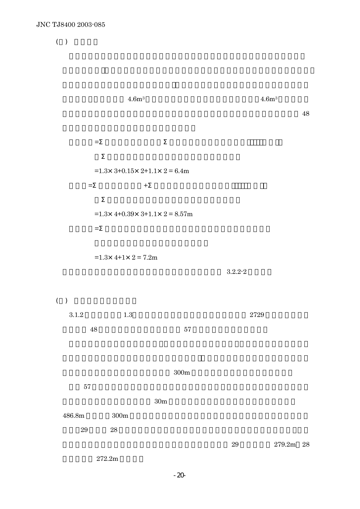$( )$ 

|                   | $4.6\mathrm{m}^3$             |                                                |             | $4.6\mathrm{m}^3$       | $\sqrt{48}$ |
|-------------------|-------------------------------|------------------------------------------------|-------------|-------------------------|-------------|
|                   |                               |                                                |             |                         |             |
|                   | $\qquad \qquad =$             |                                                |             |                         |             |
|                   |                               | $=1.3\times 3+0.15\times 2+1.1\times 2=6.4$ m  |             |                         |             |
| $=$               |                               | $\boldsymbol{+}$                               |             |                         |             |
|                   |                               | $=1.3\times 4+0.39\times 3+1.1\times 2=8.57$ m |             |                         |             |
|                   | $\quad =$                     |                                                |             |                         |             |
|                   | $=1.3\times 4+1\times 2=7.2m$ |                                                |             |                         |             |
|                   |                               |                                                | $3.2.2 - 2$ |                         |             |
| ( )               |                               |                                                |             |                         |             |
| $3.1.2\,$         | $1.3\,$                       |                                                |             | $2729\,$                |             |
|                   | $\sqrt{48}$                   | $57\,$                                         |             |                         |             |
|                   |                               |                                                |             |                         |             |
|                   |                               | $300\mathrm{m}$                                |             |                         |             |
| $57\,$            |                               |                                                |             |                         |             |
|                   |                               | $30\mathrm{m}$                                 |             |                         |             |
| $486.8\mathrm{m}$ | $300\mathrm{m}$               |                                                |             |                         |             |
| $\,29$            | ${\bf 28}$                    |                                                |             |                         |             |
|                   |                               |                                                | $\,29$      | $279.2\mathrm{m}$ $-28$ |             |
|                   | $272.2\mathrm{m}$             |                                                |             |                         |             |

-20-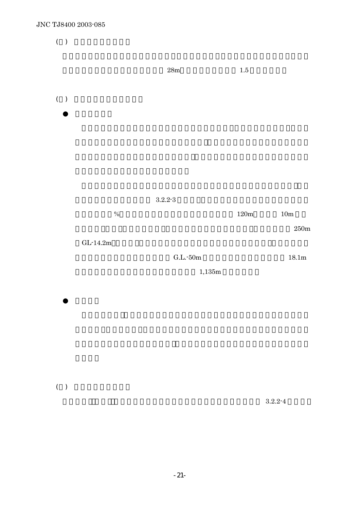|     |            | $28\mathrm{m}$                          | $1.5\,$         |                  |
|-----|------------|-----------------------------------------|-----------------|------------------|
| ( ) |            |                                         |                 |                  |
|     |            |                                         |                 |                  |
|     |            |                                         |                 |                  |
|     |            |                                         |                 |                  |
|     |            | $3.2.2 - 3$                             |                 |                  |
|     | $\%$       |                                         | $120\mathrm{m}$ | $10\mathrm{m}$   |
|     |            |                                         |                 | 250m             |
|     | $GL-14.2m$ |                                         |                 |                  |
|     |            | $\operatorname{G.L.}\text{-}50\text{m}$ |                 | $18.1\mathrm{m}$ |

 $1,135m$ 

 $( )$ 

 $3.2.2 - 4$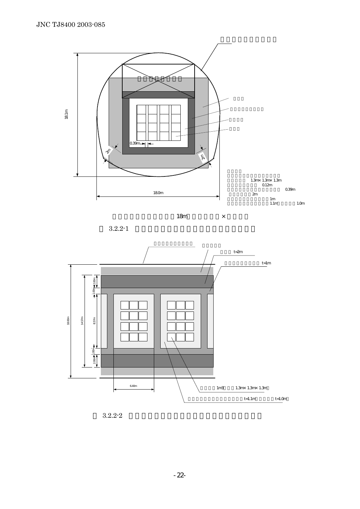

 $18m \times$ 

 $3.2.2 - 1$ 



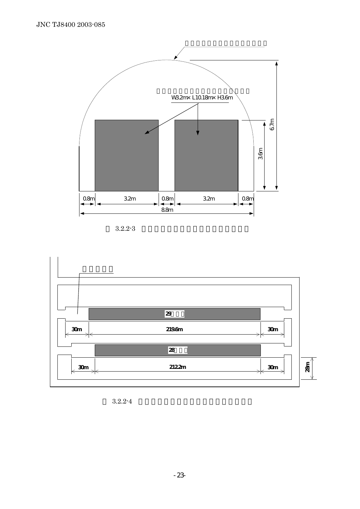

 $3.2.2 - 3$ 



 $3.2.2 - 4$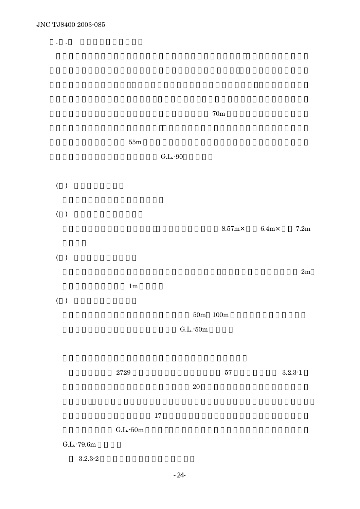## JNC TJ8400 2003-085

. . 開削サイロ型埋設施設  $70<sub>m</sub>$ 

 $55m$ G.L.-90  $( )$  $( )$  $8.57 \text{m} \times$  6.4m×  $7.2 \text{m}$  $( )$  $2m$  $1m$  $( )$ 50m 100m  $G.L.-50m$ 

 $2729$   $57$   $3.2.3-1$  $20$ 

 $17$ 

G.L.-50m

 $G.L.-79.6m$ 

 $3.2.3 - 2$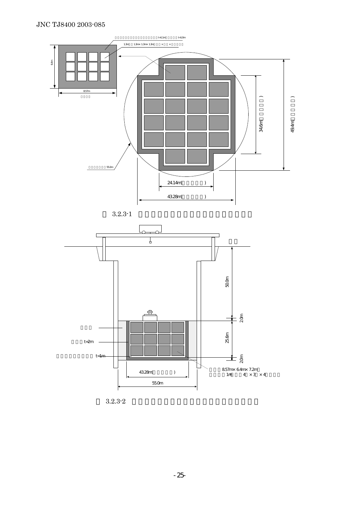

 $3.2.3 - 2$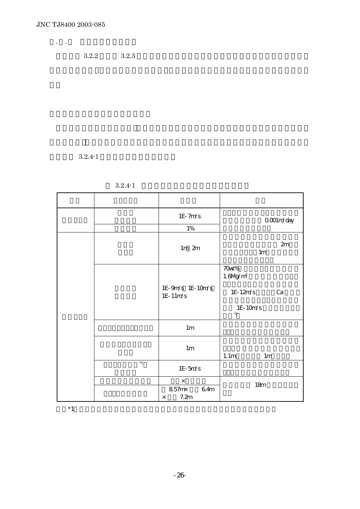. As  $\mathcal{O}(\mathcal{A})$ 

 $3.2.2 \qquad \qquad 3.2.3$ 

 $3.2.4 - 1$ 

|          | 1E- $7m/s$                                  | 0.001m/day                                                                     |
|----------|---------------------------------------------|--------------------------------------------------------------------------------|
|          | $1\%$                                       |                                                                                |
|          | $1m$ $2m$                                   | 2m<br>$1\mathrm{m}$                                                            |
|          | 1E-9m/s 1E-10m/s<br>$1E-11m/s$              | $70$ w.<br>1.6Mg/m <sup>3</sup><br>$1E-12m/s$<br>Ca<br>$1E-10m/s$<br>$^\ast 2$ |
|          | $1\mathrm{m}$                               |                                                                                |
|          | $1{\rm m}$                                  | 1.1 <sub>m</sub><br>1m                                                         |
| $^\ast1$ | $1E-5m/s$                                   |                                                                                |
|          | $\times$<br>857m<br>64m<br>7.2m<br>$\times$ | 18m                                                                            |

 $3.2.4 - 1$ 

 $*1$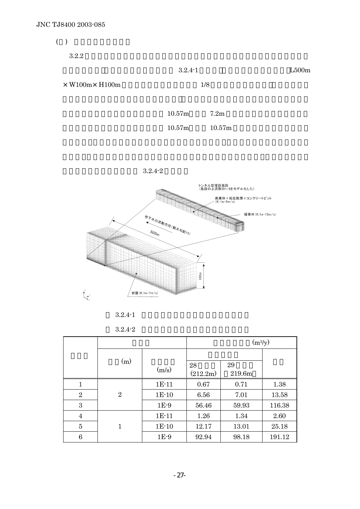$( )$ 

 $3.2.2$ 

|                               | $3.2.4 - 1$ | L500m |
|-------------------------------|-------------|-------|
| $\times$ W100m $\times$ H100m | 1/8         |       |
|                               |             |       |

| 10.57m | 7.2m              |
|--------|-------------------|
| 10.57m | $10.57\mathrm{m}$ |

 $3.2.4 - 2$ 



 $3.2.4 - 1$ 

 $3.2.4 - 2$ 

|                |                |         |                | $(m^3/y)$    |        |
|----------------|----------------|---------|----------------|--------------|--------|
|                |                |         |                |              |        |
|                | (m)            | (m/s)   | 28<br>(212.2m) | 29<br>219.6m |        |
| 1              |                | $1E-11$ | 0.67           | 0.71         | 1.38   |
| $\overline{2}$ | $\overline{2}$ | $1E-10$ | 6.56           | 7.01         | 13.58  |
| 3              |                | $1E-9$  | 56.46          | 59.93        | 116.38 |
| $\overline{4}$ |                | $1E-11$ | 1.26           | 1.34         | 2.60   |
| $\overline{5}$ | 1              | $1E-10$ | 12.17          | 13.01        | 25.18  |
| 6              |                | $1E-9$  | 92.94          | 98.18        | 191.12 |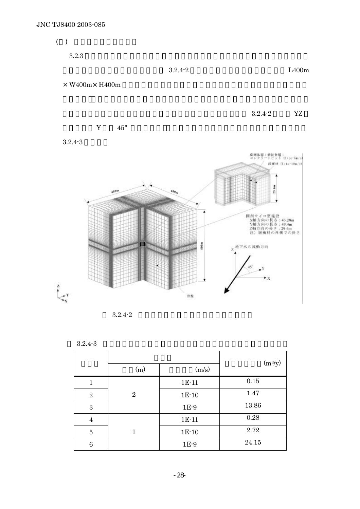$( )$  $3.2.3$  $3.2.4-2$  L400m  $\times$  W400m $\times$  H400m  $3.2.4-2$  YZ



 $3.2.4 - 3$ 



 $3.2.4 - 2$ 



|                  |                |         | $(m^3/y)$ |
|------------------|----------------|---------|-----------|
|                  | (m)            | (m/s)   |           |
|                  |                | $1E-11$ | 0.15      |
| $\sqrt{2}$       | $\overline{2}$ | $1E-10$ | 1.47      |
| $\boldsymbol{3}$ |                | $1E-9$  | 13.86     |
| $\overline{4}$   |                | $1E-11$ | 0.28      |
| $\overline{5}$   | 1              | $1E-10$ | 2.72      |
| 6                |                | $1E-9$  | 24.15     |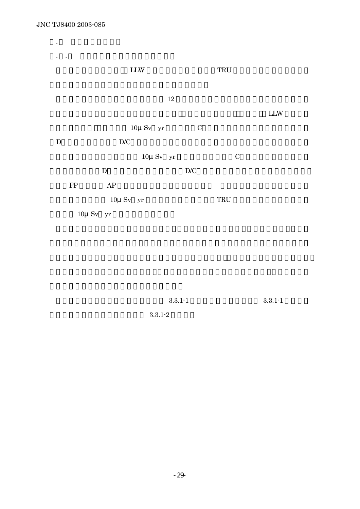| $\bullet$     |                                                   |                         |             |            |
|---------------|---------------------------------------------------|-------------------------|-------------|------------|
|               |                                                   |                         |             |            |
|               | ${\rm LLW}$                                       |                         | TRU         |            |
|               |                                                   |                         |             |            |
|               |                                                   | $12\,$                  |             |            |
|               |                                                   |                         |             | <b>LLW</b> |
|               | $10\mu$ Sv $\,$ yr                                | $\mathbf C$             |             |            |
| ${\bf D}$     | $\mathop{\rm D}\nolimits/\mathop{\rm C}\nolimits$ |                         |             |            |
|               | $10\mu$ Sv yr                                     |                         | $\mathbf C$ |            |
|               | ${\bf D}$                                         | $\mathbf{D}/\mathbf{C}$ |             |            |
| $\mbox{FP}$   | $\rm AP$                                          |                         |             |            |
|               | $10\mu$ Sv yr                                     |                         | TRU         |            |
| $10\mu$ Sv yr |                                                   |                         |             |            |

 $3.3.1-1$   $3.3.1-1$ 

 $3.3.1 - 2$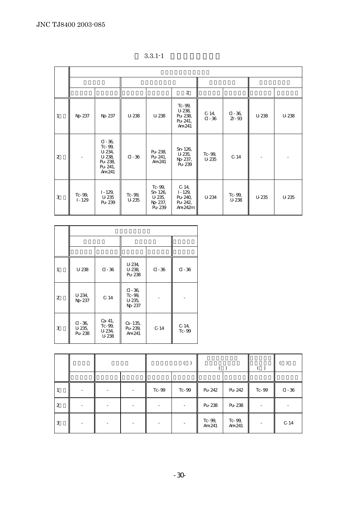|              |                      |                                                                    |                  |                                                             | $\boldsymbol{2}$                                            |                             |                       |       |       |
|--------------|----------------------|--------------------------------------------------------------------|------------------|-------------------------------------------------------------|-------------------------------------------------------------|-----------------------------|-----------------------|-------|-------|
| $\mathbf{1}$ | No 237               | N <sub>237</sub>                                                   | U 238            | U 238                                                       | Tc-99<br>U 238<br>Pu-238<br>Pu-241,<br>Am241                | C <sub>14</sub><br>$d - 36$ | $d - 36$<br>$Zr - 93$ | U 238 | U 238 |
| $\mathbf{2}$ |                      | $0 - 36$<br>Tc-99<br>U 234,<br>U 238<br>Pu-238<br>Pu-241,<br>Am241 | $d - 36$         | Pu-238<br>Pu-241,<br>Am241                                  | Sn <sub>126</sub><br>U 235,<br>No 237,<br>Pu-239            | $Tc-99$<br>U 235            | C <sub>14</sub>       |       |       |
| 3            | $Tc-99$<br>$I - 129$ | $I - 129$<br>U 235<br>Pu-239                                       | $Tc-99$<br>U 235 | $Tc-99$<br>Sn <sub>126</sub><br>U 235,<br>No 237,<br>Pu-239 | C <sub>14</sub><br>$I - 129$<br>Pu-240<br>Pu-242,<br>Am242m | U 234                       | Tc-99<br>U 238        | U 235 | U 235 |

| $\mathbf{1}$ | U 238                       | $d - 36$                           | U 234<br>U 238<br>Pu-238                        | $d - 36$        | $d - 36$                 |
|--------------|-----------------------------|------------------------------------|-------------------------------------------------|-----------------|--------------------------|
| $\mathbf{z}$ | U 234<br>N <sub>p</sub> 237 | C <sub>14</sub>                    | $d - 36$<br>Tc-99<br>U 235,<br>N <sub>237</sub> |                 |                          |
| 3            | $d - 36$<br>U 235<br>Pu-238 | Ca-41,<br>Tc-99<br>U 234,<br>U 238 | G-135<br>Pu-239<br>Am241                        | C <sub>14</sub> | C <sub>14</sub><br>Tc-99 |

|                  |  | Tc-99 | Tc-99 | Pu-242         | Pu 242          | Tc-99 | $d - 36$        |
|------------------|--|-------|-------|----------------|-----------------|-------|-----------------|
| $\boldsymbol{2}$ |  |       |       | Pu-238         | Pu-238          |       |                 |
| 3                |  |       |       | Tc-99<br>Am241 | Tc-99,<br>Am241 |       | C <sub>14</sub> |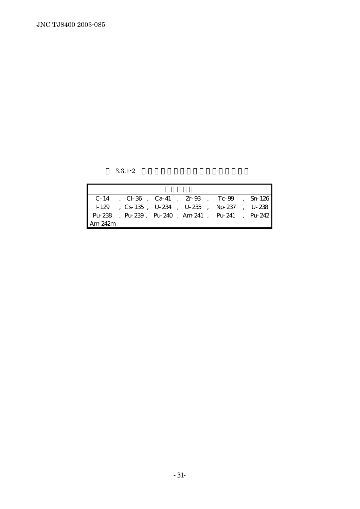$3.3.1 - 2$ 

|         | $C-14$ , $C1-36$ , $Ca-41$ , $Zr-93$ , $Tc-99$ , $Sn-126$ |  |  |
|---------|-----------------------------------------------------------|--|--|
|         | I-129 , Cs-135, U-234, U-235, Np-237, U-238               |  |  |
|         | Pu 238, Pu 239, Pu 240, Am 241, Pu 241, Pu 242            |  |  |
| Am 242m |                                                           |  |  |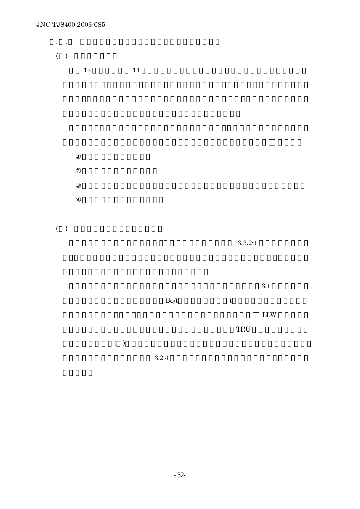## JNC TJ8400 2003-085



 $( \ )$ 

 $3.3.2-1$ 

 $3.1$  $Bq/t$  t  $LLW$  $TRU$ 

 $($ 

 $3.2.4$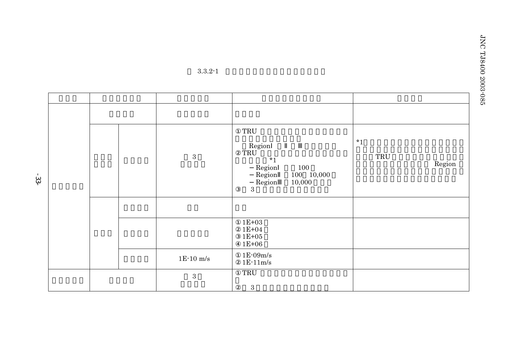|  | $\sqrt{3}$  | $\operatorname{TRU}$<br>Region<br>TRU<br>$*_{1}$<br>Region<br>Region<br>Region<br>$\sqrt{3}$ | 100<br>$100\quad 10{,}000$<br>10,000 | $*_{1}$<br>$\operatorname{TRU}$ | Region |
|--|-------------|----------------------------------------------------------------------------------------------|--------------------------------------|---------------------------------|--------|
|  |             |                                                                                              |                                      |                                 |        |
|  |             | $1E + 03$<br>$1E + 04$<br>$1\mathrm{E}{+05}$<br>$1E + 06$                                    |                                      |                                 |        |
|  | $1E-10$ m/s | $1E-09m/s$<br>$1E-11m/s$                                                                     |                                      |                                 |        |
|  | $\sqrt{3}$  | TRU                                                                                          |                                      |                                 |        |
|  |             | $\sqrt{3}$                                                                                   |                                      |                                 |        |

 3.3.2 -  $1$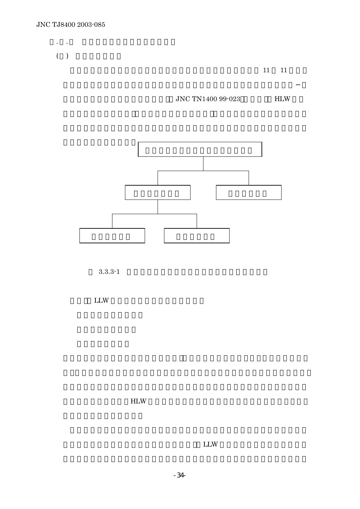$\mathbf{r}$ .  $( )$ 

11  $11$ 

 $JNC\;TN1400\;99\text{-}023\qquad\qquad \ \ \mathrm{HLW}$ 



 $3.3.3 - 1$ 

 ${\rm LLW}$ 

HLW **External Struck Struck Struck Struck** 

性を評価することとした。核種移行解析は、「LLW 第3次中間報告」の検討結果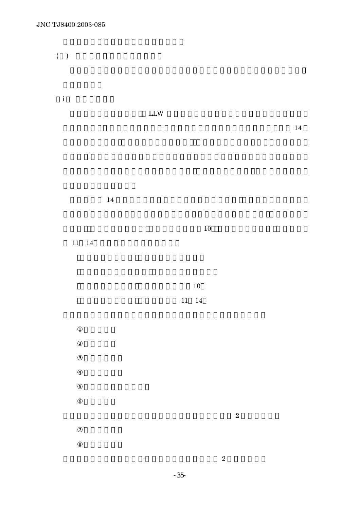- $( )$
- 
- $i$   $\cdots$   $i$ 
	- $LLW$
	- $14$
	- -
		-
		- $11 \quad 14$
- 
- 
- $14$
- $10$ 
	-
	- $10$ 11 14

 $\overline{2}$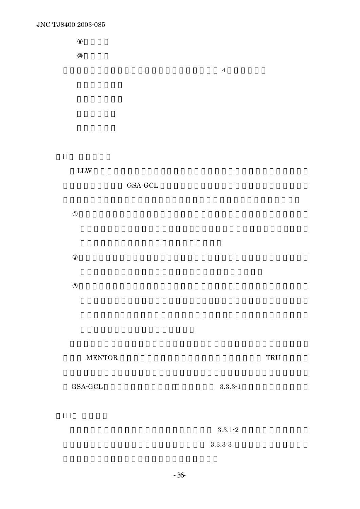ii

 $LLW$ 

 $GSA$ -GCL

 $4$ 

| <b>MENTOR</b> |             | TRU |
|---------------|-------------|-----|
| GSA-GCL       | $3.3.3 - 1$ |     |
| iii           |             |     |
|               | $3.3.1 - 2$ |     |

 $3.3.3-3$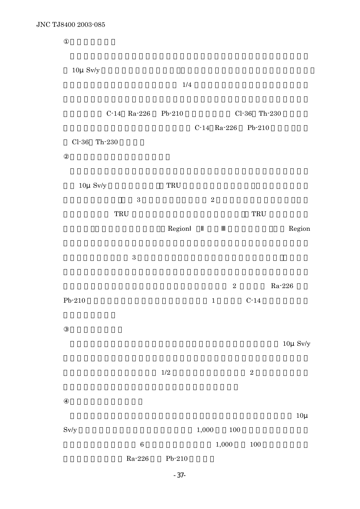| $10\mu$ Sv/y          |                      |                     |                          |             |         |                      |                     |
|-----------------------|----------------------|---------------------|--------------------------|-------------|---------|----------------------|---------------------|
|                       |                      |                     | $1\frac{1}{4}$           |             |         |                      |                     |
|                       |                      |                     |                          |             |         |                      |                     |
|                       |                      | $C-14$ Ra-226       | $Pb-210$                 |             |         | Cl-36 Th-230         |                     |
|                       |                      |                     |                          | C-14 Ra-226 |         | $Pb-210$             |                     |
| $Cl-36$<br>Th-230     |                      |                     |                          |             |         |                      |                     |
|                       |                      |                     |                          |             |         |                      |                     |
|                       |                      |                     |                          |             |         |                      |                     |
|                       |                      |                     |                          |             |         |                      |                     |
| $10\mu$ Sv/y          |                      |                     | $\operatorname{TRU}$     |             |         |                      |                     |
|                       |                      | $\boldsymbol{3}$    |                          | $\,2$       |         |                      |                     |
|                       | $\operatorname{TRU}$ |                     |                          |             |         | $\operatorname{TRU}$ |                     |
|                       |                      |                     | Region                   |             |         |                      | ${\it Region}$      |
|                       |                      |                     |                          |             |         |                      |                     |
|                       |                      | $\sqrt{3}$          |                          |             |         |                      |                     |
|                       |                      |                     |                          |             |         |                      |                     |
|                       |                      |                     |                          |             | $\,2$   |                      | $\rm Ra\mbox{-}226$ |
| ${\rm Pb}\text{-}210$ |                      |                     |                          | $\mathbf 1$ |         | $\mbox{C-14}$        |                     |
|                       |                      |                     |                          |             |         |                      |                     |
|                       |                      |                     |                          |             |         |                      |                     |
|                       |                      |                     |                          |             |         |                      | $10\mu$ Sv/y        |
|                       |                      |                     |                          |             |         |                      |                     |
|                       |                      |                     |                          |             |         |                      |                     |
|                       |                      |                     | $1\!\!/\!2$              |             |         | $\,2$                |                     |
|                       |                      |                     |                          |             |         |                      |                     |
|                       |                      |                     |                          |             |         |                      |                     |
|                       |                      |                     |                          |             |         |                      | $10\mu$             |
| $\mathrm{Sv/y}$       |                      |                     |                          | $1,\!000$   | $100\,$ |                      |                     |
|                       |                      | $\,6\,$             |                          |             | 1,000   | $100\,$              |                     |
|                       |                      | $\rm Ra\mbox{-}226$ | $\mathrm{Pb}\text{-}210$ |             |         |                      |                     |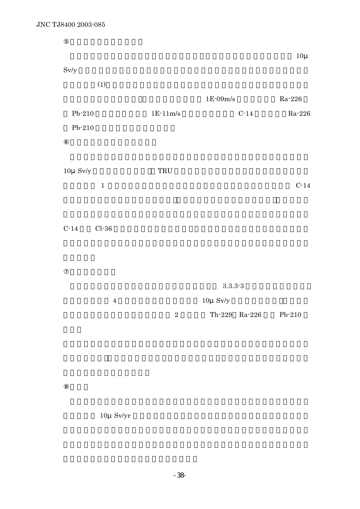|                   |                      |            | $10\mu$  |
|-------------------|----------------------|------------|----------|
| Sv/y              |                      |            |          |
| (1)               |                      |            |          |
|                   |                      | $1E-09m/s$ | $Ra-226$ |
| $Pb-210$          | $1E-11m/s$           | $C-14$     | $Ra-226$ |
| $Pb-210$          |                      |            |          |
|                   |                      |            |          |
|                   |                      |            |          |
| $10\mu$ Sv/y      | $\operatorname{TRU}$ |            |          |
| $1\,$             |                      |            | $C-14$   |
|                   |                      |            |          |
|                   |                      |            |          |
| $C-14$<br>$Cl-36$ |                      |            |          |

 $3.3.3-3$ 

|  | $10\mu$ Sv/y  |          |
|--|---------------|----------|
|  | Th-229 Ra-226 | $Pb-210$ |

 $10\mu$  Sv/yr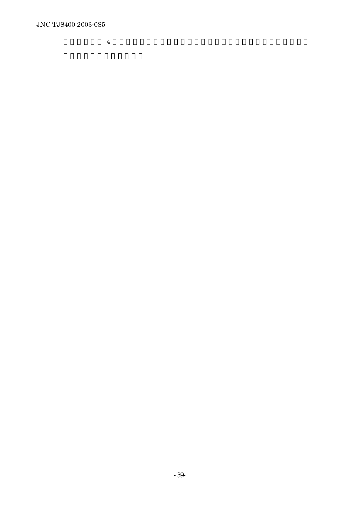$4$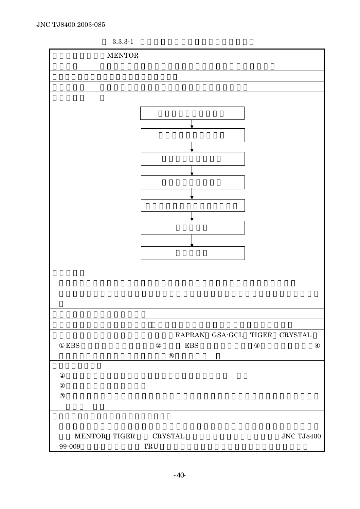| $3.3.3\mbox{-}1$        |                              |  |
|-------------------------|------------------------------|--|
| $\operatorname{MENTOR}$ |                              |  |
|                         |                              |  |
|                         |                              |  |
|                         |                              |  |
|                         |                              |  |
|                         |                              |  |
|                         |                              |  |
|                         |                              |  |
|                         |                              |  |
|                         |                              |  |
|                         |                              |  |
|                         |                              |  |
|                         |                              |  |
|                         |                              |  |
|                         |                              |  |
|                         |                              |  |
|                         |                              |  |
|                         |                              |  |
|                         |                              |  |
|                         |                              |  |
|                         |                              |  |
|                         |                              |  |
|                         |                              |  |
|                         |                              |  |
|                         | RAPRAN GSA-GCL TIGER CRYSTAL |  |
| ${\rm EBS}$             | ${\rm EBS}$                  |  |
|                         |                              |  |
|                         |                              |  |
|                         |                              |  |
|                         |                              |  |
|                         |                              |  |
|                         |                              |  |
|                         |                              |  |
|                         |                              |  |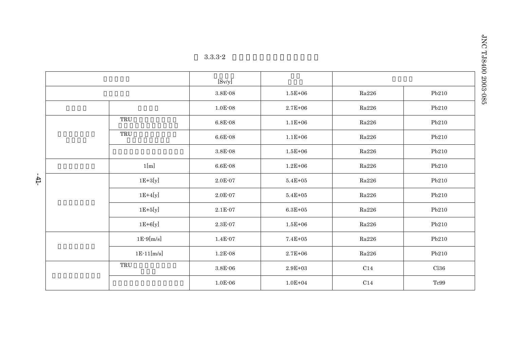| ţ<br>S<br>C<br>L<br>Š |  |
|-----------------------|--|
| にくつつ                  |  |

| $3.3.3 - 2$ |
|-------------|
|             |

|  |              | [Sv/y]                   |             |       |       |
|--|--------------|--------------------------|-------------|-------|-------|
|  |              |                          | $1.5E + 06$ | Ra226 | Pb210 |
|  |              | 1.0E-08                  | $2.7E + 06$ | Ra226 | Pb210 |
|  | TRU          | $6.8E-08$                | $1.1E + 06$ | Ra226 | Pb210 |
|  | TRU          | $6.6E-08$                | $1.1E + 06$ | Ra226 | Pb210 |
|  |              | $3.8\mathrm{E}{\cdot}08$ | $1.5E + 06$ | Ra226 | Pb210 |
|  | 1[m]         | $6.6E-0.8$               | $1.2E + 06$ | Ra226 | Pb210 |
|  | $1E+3[y]$    | 2.0E-07                  | 5.4E+05     | Ra226 | Pb210 |
|  | $1E+4[y]$    | 2.0E-07                  | 5.4E+05     | Ra226 | Pb210 |
|  | $1E+5[y]$    | $2.1E-07$                | $6.3E + 05$ | Ra226 | Pb210 |
|  | $1E+6[y]$    | $2.3E-07$                | $1.5E + 06$ | Ra226 | Pb210 |
|  | $1E-9[m/s]$  | 1.4E-07                  | 7.4E+05     | Ra226 | Pb210 |
|  | $1E-11[m/s]$ | 1.2E-08                  | $2.7E + 06$ | Ra226 | Pb210 |
|  | TRU          | $3.8\mathrm{E}{\cdot}06$ | 2.9E+03     | C14   | C136  |
|  |              | 1.0E-06                  | $1.0E + 04$ | C14   | Tc99  |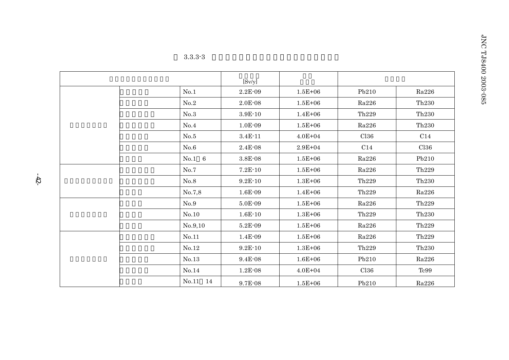|  |  | CQ0-SU02 00480-LON |
|--|--|--------------------|
|  |  |                    |
|  |  |                    |
|  |  |                    |
|  |  |                    |

|  |               | [Sv/y]      |             |                   |                   |
|--|---------------|-------------|-------------|-------------------|-------------------|
|  | No.1          | $2.2E-09$   | $1.5E + 06$ | Pb210             | Ra226             |
|  | No.2          | 2.0E-08     | $1.5E + 06$ | Ra226             | Th <sub>230</sub> |
|  | No.3          | 3.9E-10     | $1.4E + 06$ | Th <sub>229</sub> | Th <sub>230</sub> |
|  | No.4          | $1.0E-09$   | $1.5E + 06$ | Ra226             | Th <sub>230</sub> |
|  | No.5          | $3.4E-11$   | $4.0E + 04$ | C136              | C14               |
|  | No.6          | 2.4E-08     | $2.9E + 04$ | C14               | C136              |
|  | $No.1\quad 6$ | 3.8E-08     | $1.5E + 06$ | Ra226             | Pb210             |
|  | No.7          | $7.2E-10$   | $1.5E + 06$ | Ra226             | Th <sub>229</sub> |
|  | No.8          | $9.2E - 10$ | $1.3E + 06$ | Th <sub>229</sub> | Th <sub>230</sub> |
|  | No.7, 8       | $1.6E-09$   | $1.4E + 06$ | Th <sub>229</sub> | Ra226             |
|  | No.9          | 5.0E-09     | $1.5E + 06$ | Ra226             | Th <sub>229</sub> |
|  | No.10         | $1.6E - 10$ | $1.3E + 06$ | Th <sub>229</sub> | Th <sub>230</sub> |
|  | No.9,10       | 5.2E-09     | $1.5E + 06$ | Ra226             | Th <sub>229</sub> |
|  | No.11         | 1.4E-09     | $1.5E + 06$ | Ra226             | Th <sub>229</sub> |
|  | No.12         | $9.2E-10$   | $1.3E + 06$ | Th <sub>229</sub> | Th <sub>230</sub> |
|  | No.13         | $9.4E-08$   | $1.6E + 06$ | Pb210             | Ra226             |
|  | No.14         | $1.2E-08$   | $4.0E + 04$ | C136              | Tc99              |
|  | No.11 14      | $9.7E-08$   | $1.5E + 06$ | Pb210             | Ra226             |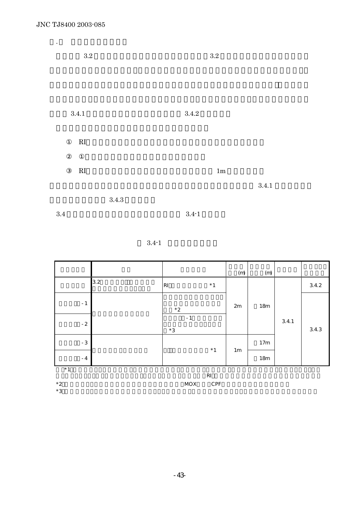. 経済性の最適化検討

| $3.2\,$                |           |           | $\rm 3.2$     |           |  |
|------------------------|-----------|-----------|---------------|-----------|--|
|                        |           |           |               |           |  |
|                        |           |           |               |           |  |
| $3.4.1\,$              |           | $3.4.2\,$ |               |           |  |
|                        |           |           |               |           |  |
| $\mathbf{R}\mathbf{I}$ |           |           |               |           |  |
| $\mathbf{R}\mathbf{I}$ |           |           | $1\mathrm{m}$ |           |  |
|                        |           |           |               | $3.4.1\,$ |  |
|                        | $3.4.3\,$ |           |               |           |  |
| $3.4\,$                |           | $3.4 - 1$ |               |           |  |



|                        |     |                        |                                       | $\left( \text{m} \right)$ | (m)   |       |           |
|------------------------|-----|------------------------|---------------------------------------|---------------------------|-------|-------|-----------|
|                        | 3.2 | $\mathbf{R}\mathbf{I}$ | $^\ast$ 1                             |                           |       |       | $3.4.2\,$ |
| $-1$                   |     | $^\ast 2$              |                                       | 2m                        | 18m   |       |           |
| $\sim 2$               |     | $-1$<br>$^{\ast}3$     |                                       |                           |       | 3.4.1 | $3.4.3\,$ |
| $\sim 3$               |     |                        | $^\ast$ 1                             |                           | $17m$ |       |           |
| $-4$                   |     |                        |                                       | $1\mathrm{m}$             | 18m   |       |           |
| $^\ast$ 1<br>$^\ast 2$ |     | $\rm{MOX}$             | $\mathop{\mathrm{RI}}$<br>${\rm CPF}$ |                           |       |       |           |

 $*3$ 

-43-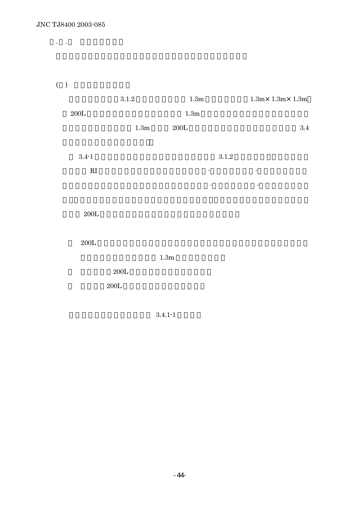$( )$ 

. . 検討条件の整理

|                        | $3.1.2\,$       | $1.3\mathrm{m}$  |                              | $1.3\mathrm{m}\times\,1.3\mathrm{m}\times\,1.3\mathrm{m}$ |
|------------------------|-----------------|------------------|------------------------------|-----------------------------------------------------------|
| $200\mbox{L}$          |                 | $1.3\mathrm{m}$  |                              |                                                           |
|                        | $1.3\mathrm{m}$ | $200\mbox{L}$    |                              | $3.4\,$                                                   |
|                        |                 |                  |                              |                                                           |
| $3.4\mbox{-}1$         |                 |                  | $3.1.2\,$                    |                                                           |
| $\mathbf{R}\mathbf{I}$ |                 |                  | ۰                            |                                                           |
|                        |                 |                  | $\qquad \qquad \blacksquare$ | $\overline{\phantom{a}}$                                  |
|                        |                 |                  |                              |                                                           |
| $200\mbox{L}$          |                 |                  |                              |                                                           |
|                        |                 |                  |                              |                                                           |
| $200\mbox{L}$          |                 |                  |                              |                                                           |
|                        |                 | $1.3\mathrm{m}$  |                              |                                                           |
|                        | $200\mbox{L}$   |                  |                              |                                                           |
|                        | $200\mbox{L}$   |                  |                              |                                                           |
|                        |                 |                  |                              |                                                           |
|                        |                 | $3.4.1\mbox{-}1$ |                              |                                                           |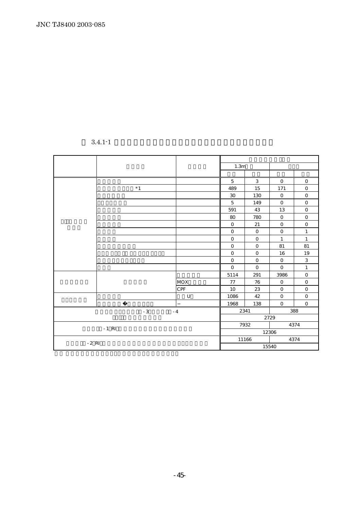|              |                          |             | 1.3 <sub>m</sub> |              |              |                |
|--------------|--------------------------|-------------|------------------|--------------|--------------|----------------|
|              |                          |             |                  |              |              |                |
|              |                          |             | $\overline{5}$   | 3            | $\Omega$     | $\mathbf{O}$   |
|              | $*1$                     |             | 489              | 15           | 171          | $\mathbf{O}$   |
|              |                          |             | 30               | 130          | $\mathbf{O}$ | $\mathbf{O}$   |
|              |                          |             | $\overline{5}$   | 149          | $\Omega$     | $\mathbf{O}$   |
|              |                          |             | 591              | 43           | 13           | $\mathbf{O}$   |
|              |                          |             | 80               | 780          | $\mathbf{O}$ | $\mathbf{O}$   |
|              |                          |             | $\overline{0}$   | 21           | $\mathbf{O}$ | $\overline{O}$ |
|              |                          |             | $\Omega$         | $\Omega$     | $\mathbf{O}$ | $\mathbf{1}$   |
|              |                          |             | $\mathbf{0}$     | $\mathbf{O}$ | $\mathbf{1}$ | $\mathbf{1}$   |
|              |                          |             | $\mathbf{O}$     | $\Omega$     | 81           | 81             |
|              |                          |             | $\mathbf{O}$     | $\mathbf{O}$ | 16           | 19             |
|              |                          |             | $\Omega$         | $\Omega$     | $\mathbf{O}$ | 3              |
|              |                          |             | $\mathbf{O}$     | $\Omega$     | $\mathbf{O}$ | $\mathbf{1}$   |
|              |                          |             | 5114             | 291          | 3986         | $\mathbf{O}$   |
|              |                          | <b>MOX</b>  | 77               | 76           | $\mathbf{O}$ | $\mathbf{O}$   |
|              |                          | ${\rm CPF}$ | 10               | 23           | $\Omega$     | $\mathbf{O}$   |
|              |                          | U           | 1086             | 42           | $\Omega$     | $\Omega$       |
|              |                          |             | 1968             | 138          | $\mathbf{O}$ | $\mathbf{O}$   |
| $-3$<br>$-4$ |                          | 2341        |                  |              | 388          |                |
|              |                          |             |                  |              | 2729         |                |
|              | $\mbox{-}$ 1 $\mbox{RI}$ |             |                  | 7932         |              | 4374           |
|              |                          |             |                  |              | 12306        |                |
|              |                          |             |                  | 11166        |              | 4374           |
| $-2$ RI      |                          | 15540       |                  |              |              |                |

 $3.4.1 - 1$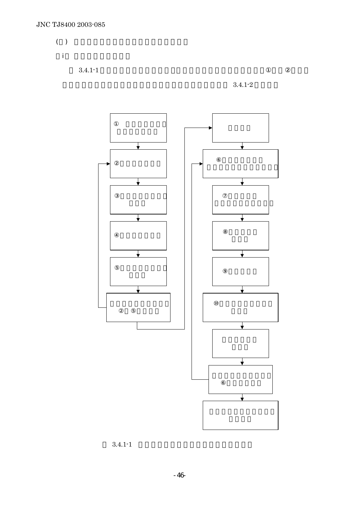$($  ) i 処分空洞の建設工程

 $3.4.1 - 1$ 

 $3.4.1 - 2$ 



 $3.4.1 - 1$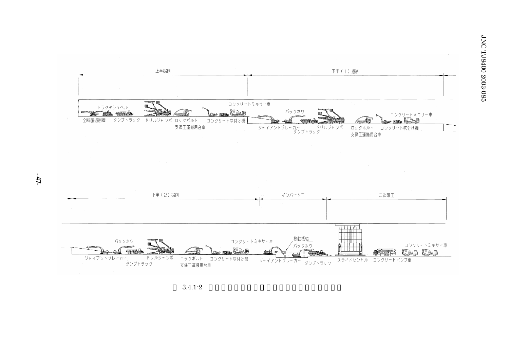





-47-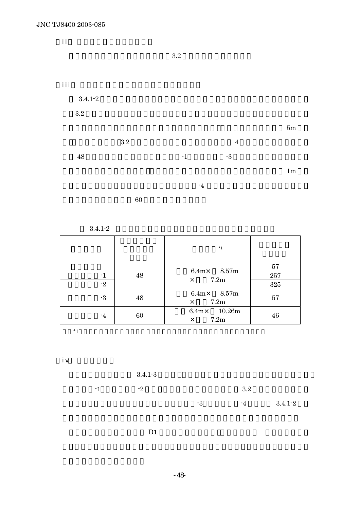

 $3.4.1 - 2$ 

|              |    | $*_{1}$                                        |                  |
|--------------|----|------------------------------------------------|------------------|
| $-1$<br>$-2$ | 48 | 6.4m× 8.57m<br>7.2m<br>$\times$                | 57<br>257<br>325 |
| $-3$         | 48 | 6.4m× 8.57m<br>7.2m<br>$\times$                | 57               |
| $-4$         | 60 | 6.4 <sup>m</sup><br>10.26m<br>7.2m<br>$\times$ | 46               |

 $*1$ 

i v

|    | $3.4.1 - 3$ |    |      |             |
|----|-------------|----|------|-------------|
| -1 | $-2$        |    | 3.2  |             |
|    |             | -3 | $-4$ | $3.4.1 - 2$ |

 $D1$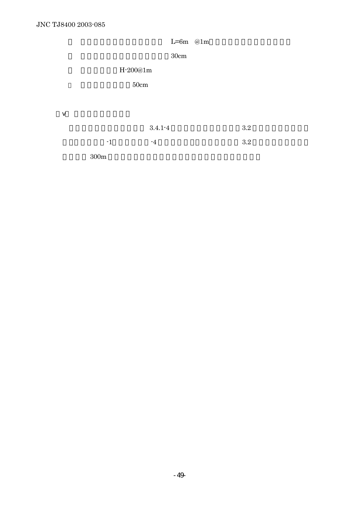|                 |                         |                 | L=6m $@1m$ |         |  |
|-----------------|-------------------------|-----------------|------------|---------|--|
|                 |                         | $30\mathrm{cm}$ |            |         |  |
|                 | H-200@1m                |                 |            |         |  |
|                 | $50\mathrm{cm}$         |                 |            |         |  |
|                 |                         |                 |            |         |  |
| $\mathbf{V}$    |                         |                 |            |         |  |
|                 |                         | $3.4.1 - 4$     |            | $3.2\,$ |  |
|                 | $^{\text{{\small -1}}}$ | $-4$            |            | $3.2\,$ |  |
| $300\mathrm{m}$ |                         |                 |            |         |  |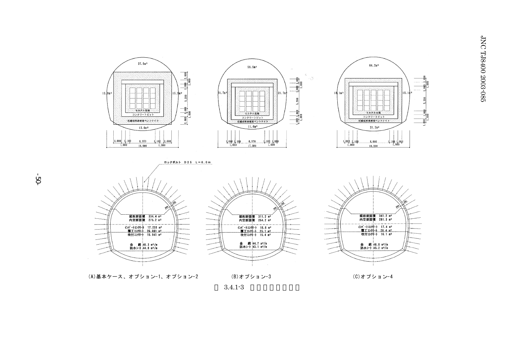

 3.4.1 -  $3 \sim$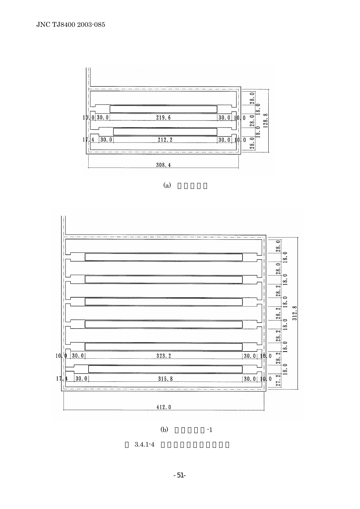





(b)  $-1$ 

 $3.4.1 - 4$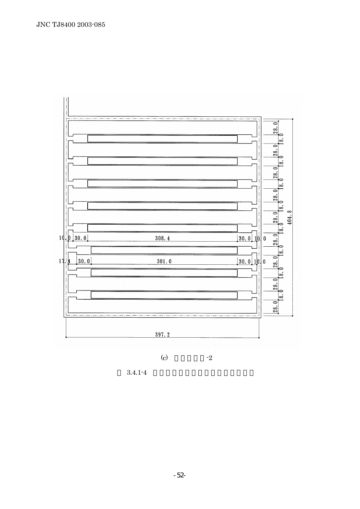

(c)  $-2$ 

 $3.4.1 - 4$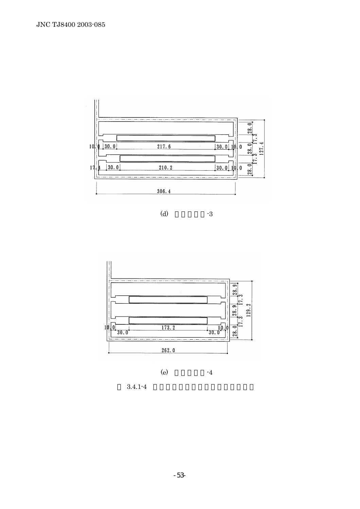

(d)  $-3$ 





 $3.4.1 - 4$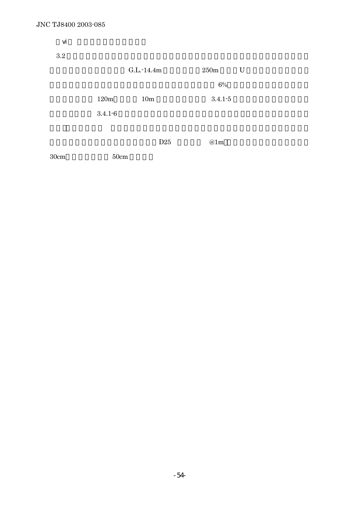## $\dot{M}$

| $3.2\,$ |             |                 |             |             |
|---------|-------------|-----------------|-------------|-------------|
|         |             | G.L.-14.4m      | 250m        | $\mathbf U$ |
|         |             |                 | 6%          |             |
|         | 120m        | 10 <sub>m</sub> | $3.4.1 - 5$ |             |
|         | $3.4.1 - 6$ |                 |             |             |
|         |             |                 |             |             |
|         |             | D25             | @1m         |             |
| 30cm    | 50cm        |                 |             |             |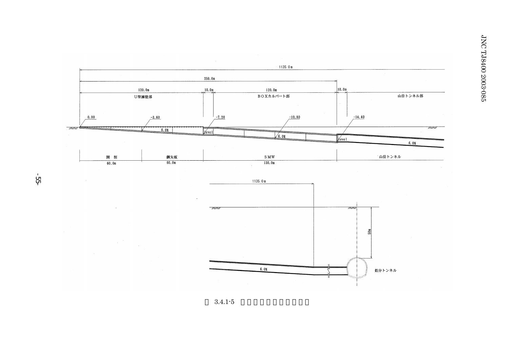



 $\dot{\mathbf{g}}$ 

3NC TJ8400 2003-085 JNC TJ8400 2003-085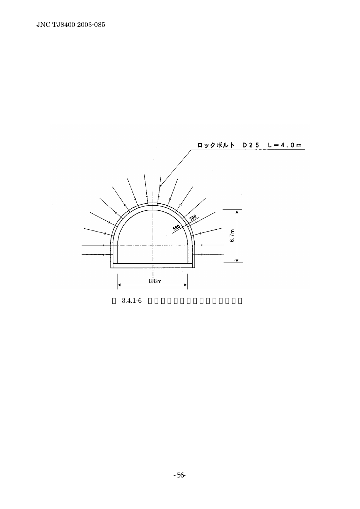

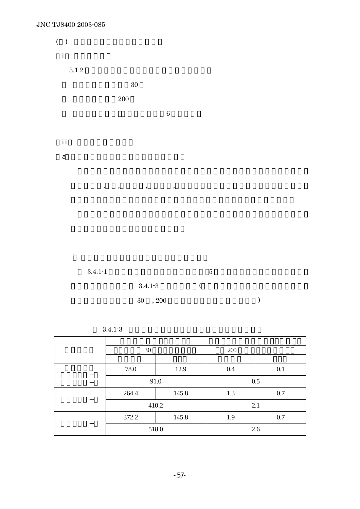

| $3.4.1 - 1$ |             | 5 |  |
|-------------|-------------|---|--|
|             | $3.4.1 - 3$ |   |  |
|             | 30, 200     |   |  |

 $3.4.1 - 3$ 

i and  $i$  becomes the contract of  $i$ 

| 30    |       | 200 |     |
|-------|-------|-----|-----|
|       |       |     |     |
| 78.0  | 12.9  | 0.4 | 0.1 |
| 91.0  |       | 0.5 |     |
| 264.4 | 145.8 | 1.3 | 0.7 |
| 410.2 |       | 2.1 |     |
| 372.2 | 145.8 | 1.9 | 0.7 |
| 518.0 |       | 2.6 |     |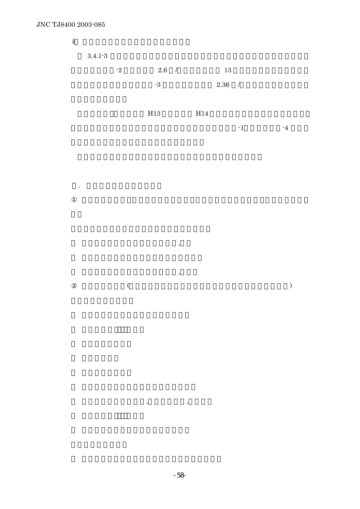ii  $\mathbf{a}$ 

 $3.4.1 - 3$ 

. 受入・検査設備の必要機能

 $\overline{R}$ 

 $\overline{\phantom{a}}$ 

| $-2$ | $2.6$ / | 13       |
|------|---------|----------|
|      | $-3$    | $2.36$ / |
|      |         |          |

H13 H14

 $($ 

 $-1$   $-4$ 

空輸送容器の蓋取外し,表面汚染検査,蓋取付け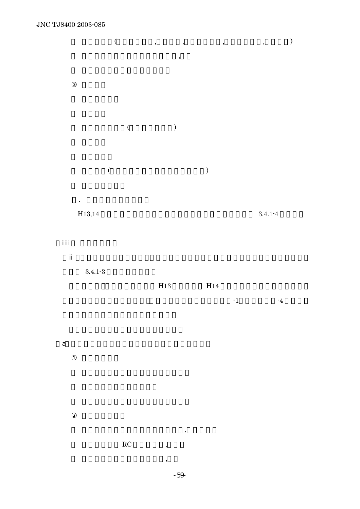

 $H13,14$   $3.4.1-4$ 

iii

 $3.4.1 - 3$ 

| H13 | H14 |      |      |
|-----|-----|------|------|
|     |     | $-1$ | $-4$ |

 $a \rightarrow a$ 

 $RC$   $,$ 

 $\overline{\phantom{a}}$ 

 $\overline{\phantom{a}}$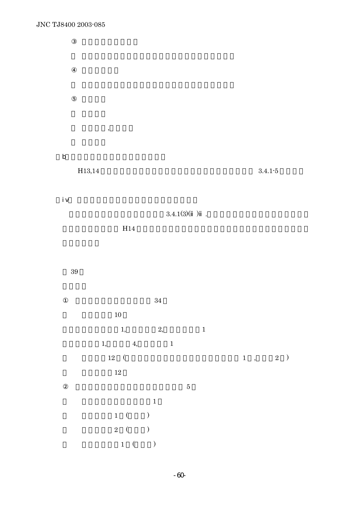## JNC TJ8400 2003-085

 $,$  $\mathbf b$  $H13,14$   $3.4.1-5$ 

 $iv$ 

 $3.4.1(3)()$ .

 $H14$ 

39

 $\sim$  34 運転要員:10 制御室:運転統括:1,設備操作:2,モニタ監視:1 現場:統括:1,作業者:4,現場監視:1  $\begin{array}{ccccccccc} 12 & (&&&&&&& 1 \end{array} \quad , \qquad \begin{array}{ccccccccc} & 2 & (&&&&&&& 1 \end{array}$ 一般管理:12  $\sim$  5 ヤードキャリア運転員:1  $1$  ( )  $2( )$  $1$  ( )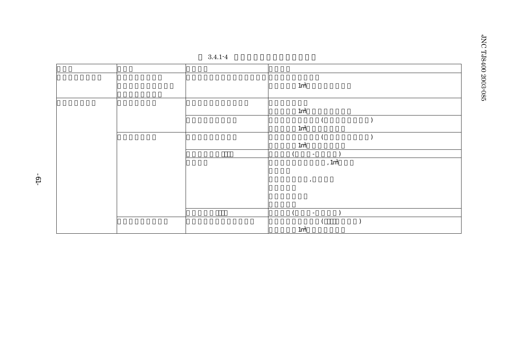

JNC TJ8400 2003-085 JNC TJ8400 2003-085

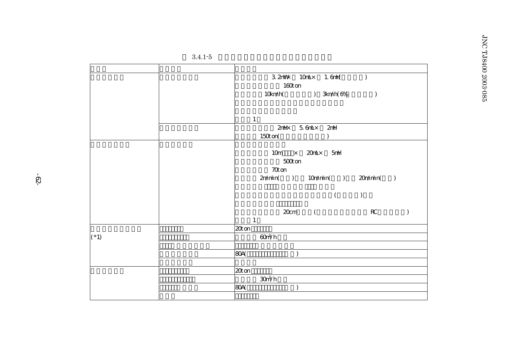|        | $3.2$ nW $10$ nh $\times$ 1. Gnh $I$<br>$\lambda$                               |
|--------|---------------------------------------------------------------------------------|
|        | $160 \text{cm}$                                                                 |
|        | $10 \text{km/h}$ $3 \text{km/h}$ $6\%$<br>$\begin{array}{c} \hline \end{array}$ |
|        |                                                                                 |
|        |                                                                                 |
|        | $\mathbf{1}$                                                                    |
|        | $2n$ hk 5 Gnh $\times$ 2nh                                                      |
|        | $150 \text{cm}$                                                                 |
|        |                                                                                 |
|        | $10m \times 20m\text{K}$ 5mH                                                    |
|        | $500 \text{ cm}$                                                                |
|        | $\pi$                                                                           |
|        | $2\pi\text{min}($ ) $10\pi\text{min}($ ) $20\pi\text{min}($ )                   |
|        |                                                                                 |
|        | $\overline{(\ }$<br>$\lambda$                                                   |
|        |                                                                                 |
|        | $20cm$ (<br>$R_{\rm C}$<br>$\mathcal{L}$                                        |
|        | $1 \quad \blacksquare$                                                          |
|        | 20ton                                                                           |
| $(*1)$ | $\overline{\omega}$ $\frac{\partial}{\partial h}$                               |
|        |                                                                                 |
|        | 80 <sup>A</sup>                                                                 |
|        |                                                                                 |
|        | 20ton                                                                           |
|        | $30n$ <sup>2</sup> /h                                                           |
|        | 804(                                                                            |
|        |                                                                                 |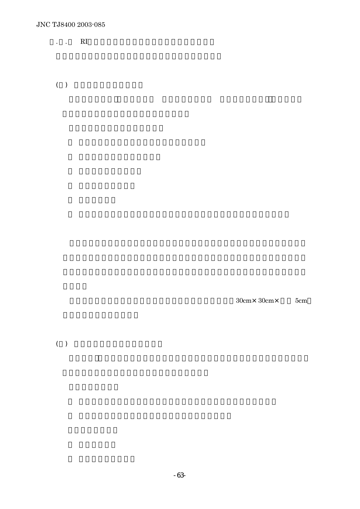. . RI

 $( )$ 

30cm×30cm× 5cm

 $( )$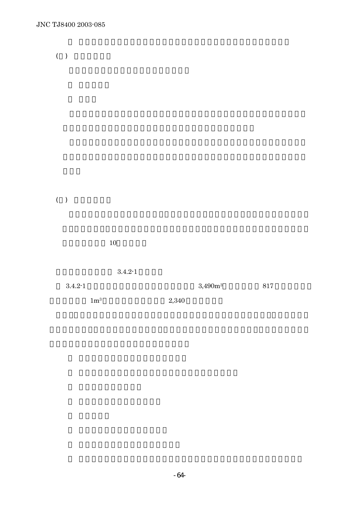$( )$ 

 $( )$ 

 $10$ 

 $3.4.2 - 1$ 

 $3.4.2-1$   $3.490m^3$   $817$ 

 $1\text{m}^3$  2,340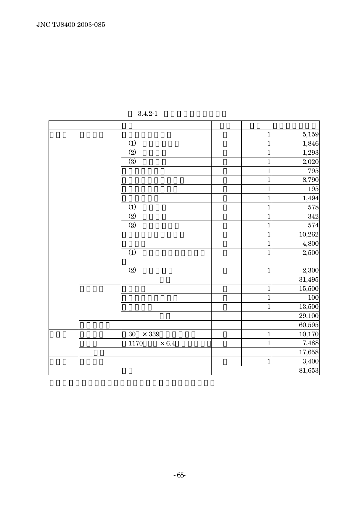| $0.7.4 \pm 1$            |              |         |
|--------------------------|--------------|---------|
|                          |              |         |
|                          | $\mathbf{1}$ | 5,159   |
| (1)                      | $\mathbf{1}$ | 1,846   |
| $\overline{(2)}$         | $\mathbf{1}$ | 1,293   |
| $\overline{(3)}$         | $\mathbf{1}$ | 2,020   |
|                          | $\mathbf{1}$ | $795\,$ |
|                          | $\mathbf{1}$ | 8,790   |
|                          | $\mathbf{1}$ | $195\,$ |
|                          | $\mathbf{1}$ | 1,494   |
| (1)                      | $\mathbf{1}$ | $578\,$ |
| (2)                      | $\mathbf{1}$ | 342     |
| $\overline{3}$           | $\mathbf{1}$ | $574\,$ |
|                          | $\mathbf{1}$ | 10,262  |
|                          | $\mathbf{1}$ | 4,800   |
| $\overline{(1)}$         | $\mathbf{1}$ | 2,500   |
|                          |              |         |
| (2)                      | $\mathbf{1}$ | 2,300   |
|                          |              | 31,495  |
|                          | $\mathbf{1}$ | 15,500  |
|                          | $\mathbf{1}$ | $100\,$ |
|                          | $\mathbf{1}$ | 13,500  |
|                          |              | 29,100  |
|                          |              | 60,595  |
| $\times$ 339<br>$30\,$   | $\mathbf{1}$ | 10,170  |
| $1170\,$<br>$\times$ 6.4 | $\mathbf{1}$ | 7,488   |
|                          |              | 17,658  |
|                          | $\mathbf{1}$ | 3,400   |
|                          |              | 81,653  |

 $3.4.2 - 1$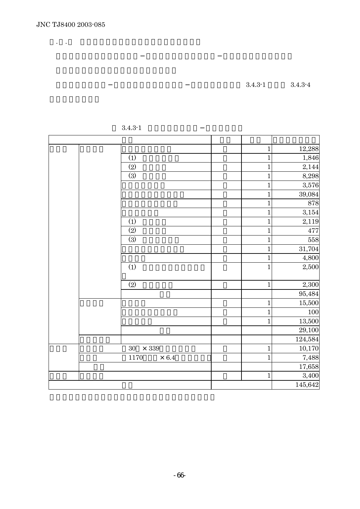. . 処分施設のオプションケースの経済性評価

 $3.4.3-1$   $3.4.3-4$ 

|                        | $\mathbf{1}$ | 12,288  |
|------------------------|--------------|---------|
| (1)                    | $\mathbf{1}$ | 1,846   |
| $\overline{(2)}$       | $\mathbf{1}$ | 2,144   |
| $\overline{(3)}$       | $\mathbf{1}$ | 8,298   |
|                        | $\mathbf{1}$ | 3,576   |
|                        | $\mathbf{1}$ | 39,084  |
|                        | $\mathbf{1}$ | 878     |
|                        | $\mathbf{1}$ | 3,154   |
| (1)                    | $\mathbf{1}$ | 2,119   |
| (2)                    | $\mathbf{1}$ | 477     |
| $\overline{(3)}$       | $\mathbf{1}$ | 558     |
|                        | $\mathbf{1}$ | 31,704  |
|                        | $\mathbf{1}$ | 4,800   |
| $\overline{1}$         | $\mathbf{1}$ | 2,500   |
|                        |              |         |
| (2)                    | $\mathbf{1}$ | 2,300   |
|                        |              | 95,484  |
|                        | $\mathbf{1}$ | 15,500  |
|                        | $\mathbf{1}$ | $100\,$ |
|                        | $\mathbf{1}$ | 13,500  |
|                        |              | 29,100  |
|                        |              | 124,584 |
| $\times$ 339<br>$30\,$ | $\mathbf{1}$ | 10,170  |
| 1170<br>$\times$ 6.4   | $\mathbf{1}$ | 7,488   |
|                        |              | 17,658  |
|                        | $\mathbf{1}$ | 3,400   |
|                        |              | 145,642 |

 $3.4.3 - 1$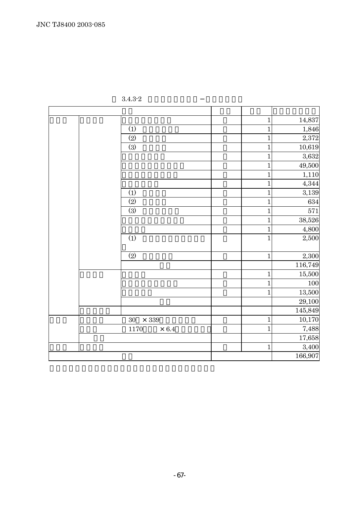|                        | $\mathbf{1}$ | 14,837  |
|------------------------|--------------|---------|
| (1)                    | $\mathbf{1}$ | 1,846   |
| (2)                    | $\mathbf{1}$ | 2,372   |
| (3)                    | $\mathbf{1}$ | 10,619  |
|                        | $\mathbf{1}$ | 3,632   |
|                        | $\mathbf{1}$ | 49,500  |
|                        | $\mathbf{1}$ | 1,110   |
|                        | $\mathbf{1}$ | 4,344   |
| (1)                    | $\mathbf{1}$ | 3,139   |
| (2)                    | $\mathbf{1}$ | $\,634$ |
| (3)                    | $\mathbf{1}$ | $571\,$ |
|                        | $\mathbf{1}$ | 38,526  |
|                        | $\mathbf{1}$ | 4,800   |
| (1)                    | $\mathbf{1}$ | 2,500   |
|                        |              |         |
| (2)                    | $\mathbf{1}$ | 2,300   |
|                        |              | 116,749 |
|                        | $\mathbf{1}$ | 15,500  |
|                        | $\mathbf{1}$ | $100\,$ |
|                        | $\mathbf{1}$ | 13,500  |
|                        |              | 29,100  |
|                        |              | 145,849 |
| $\times$ 339<br>$30\,$ | $\mathbf{1}$ | 10,170  |
| 1170<br>$\times$ 6.4   | $\mathbf{1}$ | 7,488   |
|                        |              | 17,658  |
|                        | $\mathbf{1}$ | 3,400   |
|                        |              | 166,907 |

 $3.4.3 - 2$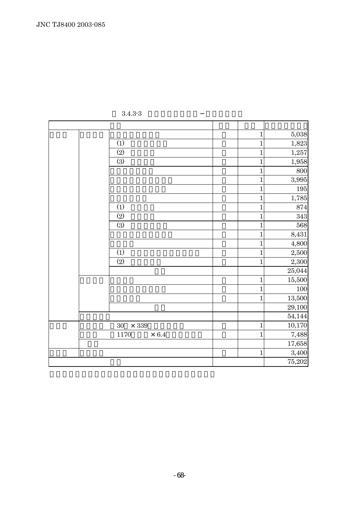|                        | $\mathbf{1}$ | 5,038      |
|------------------------|--------------|------------|
| (1)                    | 1            | 1,823      |
| (2)                    | 1            | $1,\!257$  |
| $\overline{3}$         | 1            | 1,958      |
|                        | $\mathbf{1}$ | 800        |
|                        | 1            | 3,995      |
|                        | 1            | $195\,$    |
|                        | 1            | 1,785      |
| (1)                    | $\mathbf{1}$ | 874        |
| (2)                    | 1            | 343        |
| $\overline{3}$         | 1            | 568        |
|                        | 1            | 8,431      |
|                        | $\mathbf{1}$ | 4,800      |
| (1)                    | 1            | $2,\!500$  |
| (2)                    | 1            | 2,300      |
|                        |              | 25,044     |
|                        | 1            | $15,\!500$ |
|                        | 1            | $100\,$    |
|                        | 1            | 13,500     |
|                        |              | 29,100     |
|                        |              | 54,144     |
| $30\,$<br>$\times$ 339 | 1            | 10,170     |
| 1170<br>$\times$ 6.4   | 1            | 7,488      |
|                        |              | 17,658     |
|                        | 1            | 3,400      |
|                        |              | 75,202     |

 $3.4.3 - 3$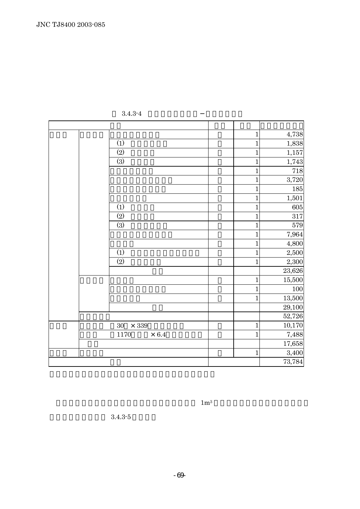|                        | $\mathbf{1}$ | 4,738     |
|------------------------|--------------|-----------|
| (1)                    | $\mathbf{1}$ | 1,838     |
| (2)                    | 1            | $1,\!157$ |
| (3)                    | $\mathbf 1$  | 1,743     |
|                        | 1            | 718       |
|                        | $\mathbf{1}$ | 3,720     |
|                        | $\mathbf{1}$ | 185       |
|                        | $\mathbf{1}$ | 1,501     |
| (1)                    | $\mathbf{1}$ | 605       |
| $\overline{(2)}$       | $\mathbf{1}$ | 317       |
| $\overline{(3)}$       | $\mathbf{1}$ | $579\,$   |
|                        | $\mathbf{1}$ | 7,964     |
|                        | $\mathbf{1}$ | 4,800     |
| (1)                    | $\mathbf{1}$ | 2,500     |
| (2)                    | $\mathbf{1}$ | 2,300     |
|                        |              | 23,626    |
|                        | $\mathbf{1}$ | 15,500    |
|                        | $\mathbf{1}$ | $100\,$   |
|                        | 1            | 13,500    |
|                        |              | 29,100    |
|                        |              | 52,726    |
| $\times$ 339<br>$30\,$ | $\mathbf{1}$ | 10,170    |
| 1170<br>$\times$ 6.4   | $\mathbf{1}$ | 7,488     |
|                        |              | 17,658    |
|                        | $\mathbf{1}$ | 3,400     |
|                        |              | 73,784    |

 $3.4.3 - 4$ 

 $1\mathrm{m}^3$ 

 $3.4.3 - 5$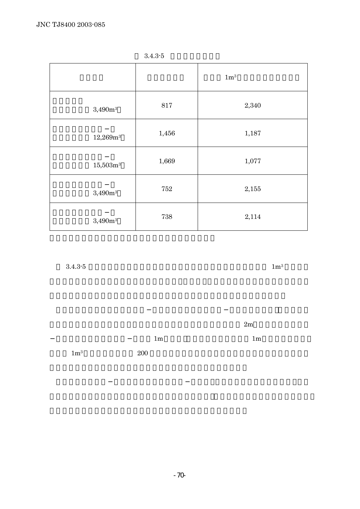$1\text{m}^3$  200

 $1m$   $1m$ 

 $2m$ 

 $3.4.3\cdot 5$   $1\,\mathrm{m}^3$ 

JNC TJ8400 2003-085

|                     |       | 1m <sup>3</sup> |
|---------------------|-------|-----------------|
| 3,490m <sup>3</sup> | 817   | 2,340           |
| $12,269m^3$         | 1,456 | 1,187           |
| $15,503m^3$         | 1,669 | 1,077           |
| $3,490m^3$          | 752   | $2,\!155$       |
| $3,490m^3$          | 738   | 2,114           |

 $3.4.3 - 5$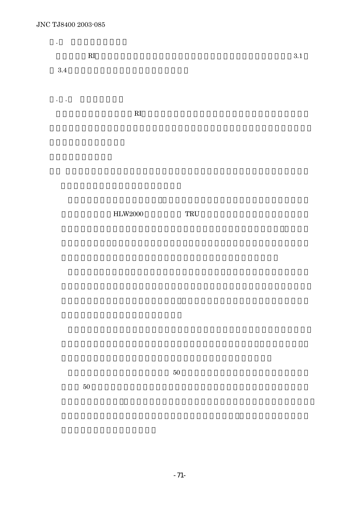.  $\ddotsc$ 

. The  $\mathcal{O}(\mathbb{R}^n)$  $R$ I and  $R$  $3.4$ 

 $R$ I

 $HLW2000$  TRU

 $50$ 

 $50$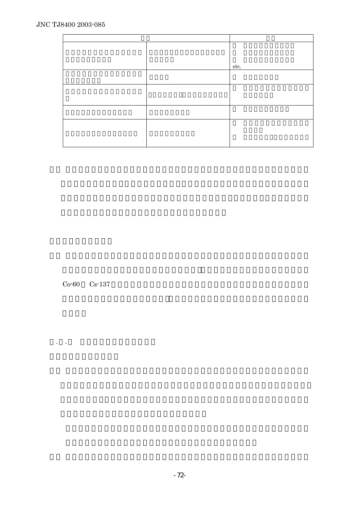|  | etc. |
|--|------|
|  |      |
|  |      |
|  |      |
|  |      |
|  |      |
|  |      |
|  |      |
|  |      |
|  |      |
|  |      |
|  |      |

 $Co-60$   $Cs-137$ 

. . .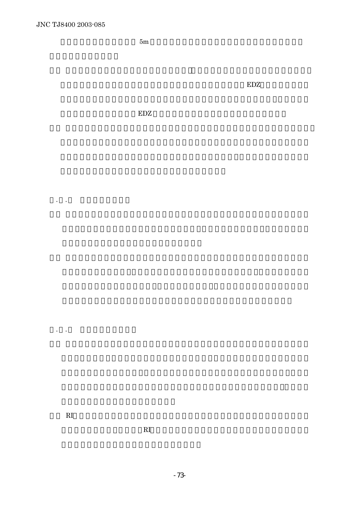. . .

 $5m$ 

 $\rm EDZ$ 

 $EDZ$ 

 $\rm RI$ 

. . 経済性の最適化検討

 $RI$